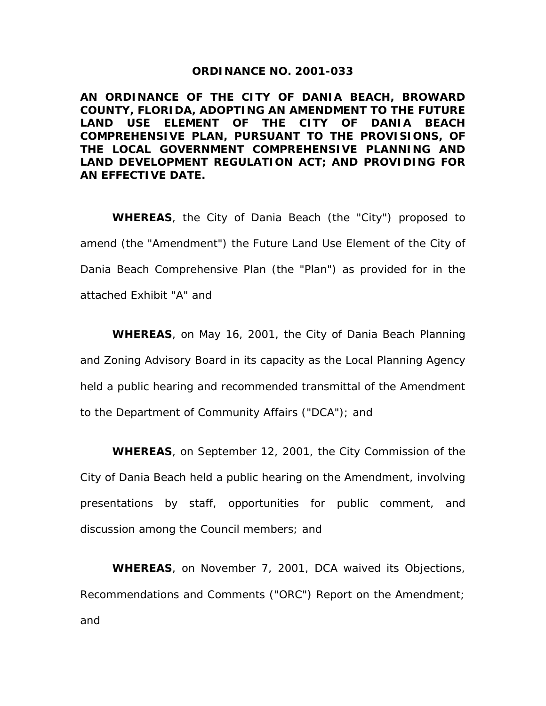#### **ORDINANCE NO. 2001-033**

**AN ORDINANCE OF THE CITY OF DANIA BEACH, BROWARD COUNTY, FLORIDA, ADOPTING AN AMENDMENT TO THE FUTURE LAND USE ELEMENT OF THE CITY OF DANIA BEACH COMPREHENSIVE PLAN, PURSUANT TO THE PROVISIONS, OF THE LOCAL GOVERNMENT COMPREHENSIVE PLANNING AND LAND DEVELOPMENT REGULATION ACT; AND PROVIDING FOR AN EFFECTIVE DATE.** 

**WHEREAS**, the City of Dania Beach (the "City") proposed to amend (the "Amendment") the Future Land Use Element of the City of Dania Beach Comprehensive Plan (the "Plan") as provided for in the attached Exhibit "A" and

**WHEREAS**, on May 16, 2001, the City of Dania Beach Planning and Zoning Advisory Board in its capacity as the Local Planning Agency held a public hearing and recommended transmittal of the Amendment to the Department of Community Affairs ("DCA"); and

**WHEREAS**, on September 12, 2001, the City Commission of the City of Dania Beach held a public hearing on the Amendment, involving presentations by staff, opportunities for public comment, and discussion among the Council members; and

**WHEREAS**, on November 7, 2001, DCA waived its Objections, Recommendations and Comments ("ORC") Report on the Amendment; and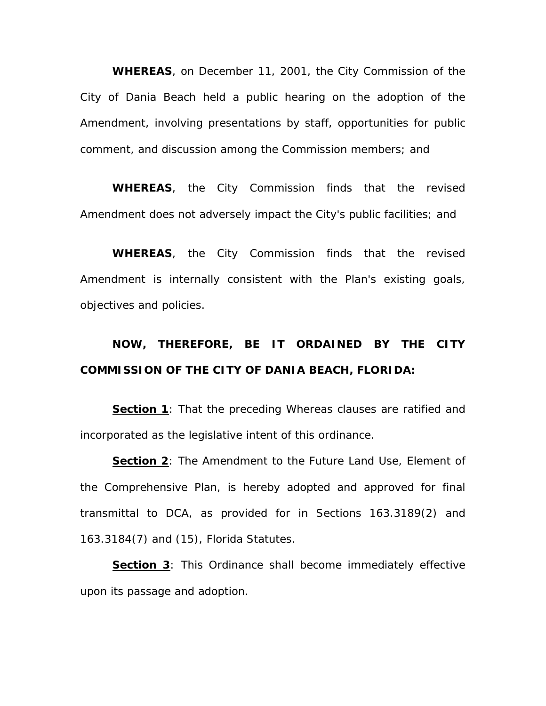**WHEREAS**, on December 11, 2001, the City Commission of the City of Dania Beach held a public hearing on the adoption of the Amendment, involving presentations by staff, opportunities for public comment, and discussion among the Commission members; and

**WHEREAS**, the City Commission finds that the revised Amendment does not adversely impact the City's public facilities; and

**WHEREAS**, the City Commission finds that the revised Amendment is internally consistent with the Plan's existing goals, objectives and policies.

## **NOW, THEREFORE, BE IT ORDAINED BY THE CITY COMMISSION OF THE CITY OF DANIA BEACH, FLORIDA:**

**Section 1**: That the preceding Whereas clauses are ratified and incorporated as the legislative intent of this ordinance.

**Section 2**: The Amendment to the Future Land Use, Element of the Comprehensive Plan, is hereby adopted and approved for final transmittal to DCA, as provided for in Sections 163.3189(2) and 163.3184(7) and (15), Florida Statutes.

**Section 3**: This Ordinance shall become immediately effective upon its passage and adoption.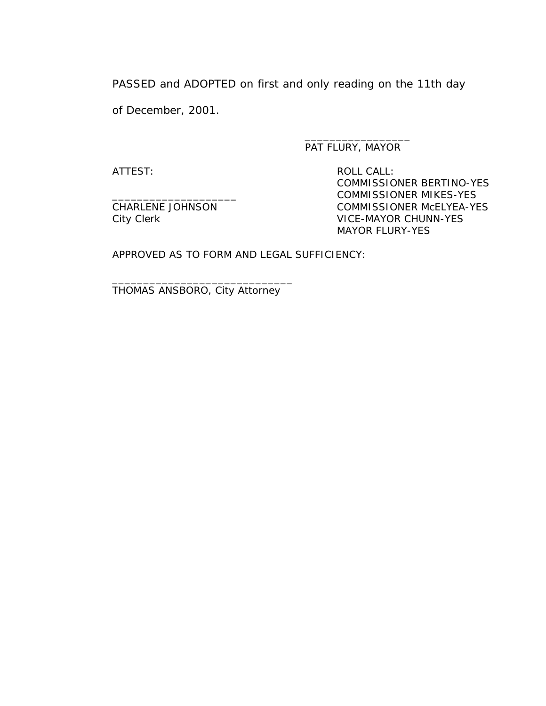PASSED and ADOPTED on first and only reading on the 11th day of December, 2001.

 $\overline{\phantom{a}}$  , and the contract of the contract of the contract of the contract of the contract of the contract of the contract of the contract of the contract of the contract of the contract of the contract of the contrac

PAT FLURY, MAYOR

ATTEST: ROLL CALL: COMMISSIONER BERTINO-YES \_\_\_\_\_\_\_\_\_\_\_\_\_\_\_\_\_\_\_\_ COMMISSIONER MIKES-YES CHARLENE JOHNSON COMMISSIONER McELYEA-YES City Clerk VICE-MAYOR CHUNN-YES MAYOR FLURY-YES

APPROVED AS TO FORM AND LEGAL SUFFICIENCY:

THOMAS ANSBORO, City Attorney

\_\_\_\_\_\_\_\_\_\_\_\_\_\_\_\_\_\_\_\_\_\_\_\_\_\_\_\_\_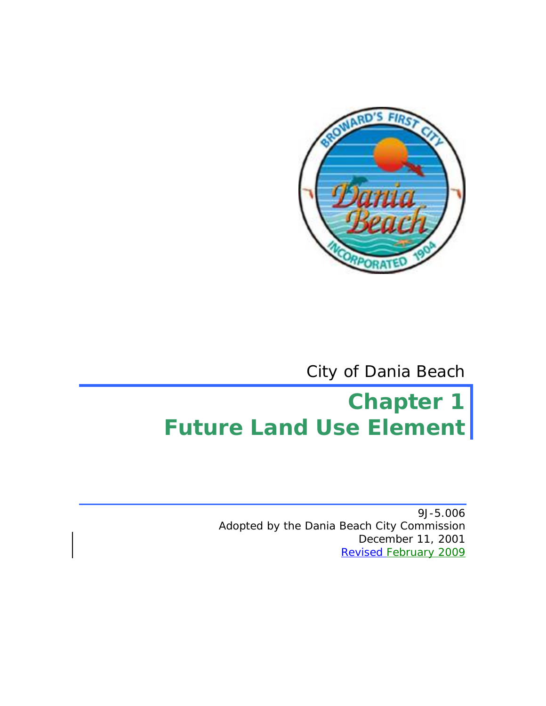

City of Dania Beach

# **Chapter 1 Future Land Use Element**

9J-5.006 Adopted by the Dania Beach City Commission December 11, 2001 Revised February 2009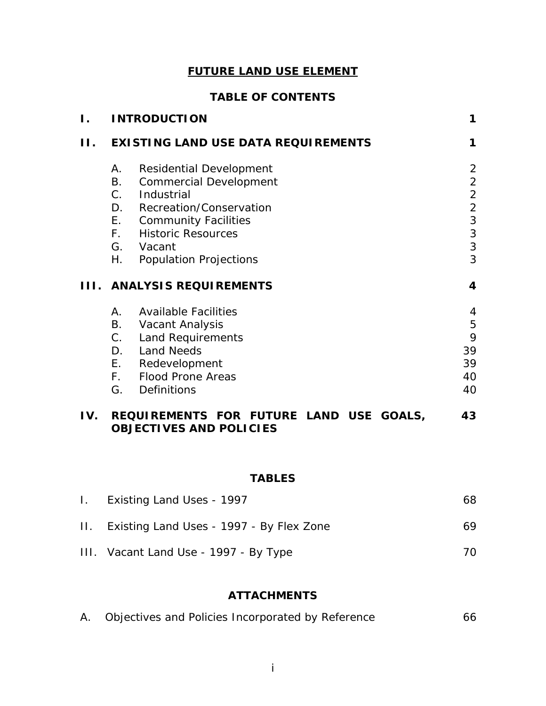#### **FUTURE LAND USE ELEMENT**

#### **TABLE OF CONTENTS**

| Ι.  |                                            | <b>INTRODUCTION</b>                                                                                                                                                                                           | 1                                                                                                               |  |
|-----|--------------------------------------------|---------------------------------------------------------------------------------------------------------------------------------------------------------------------------------------------------------------|-----------------------------------------------------------------------------------------------------------------|--|
| П.  | <b>EXISTING LAND USE DATA REQUIREMENTS</b> |                                                                                                                                                                                                               |                                                                                                                 |  |
|     | Α.<br>B.<br>$C_{\cdot}$<br>Η.              | <b>Residential Development</b><br><b>Commercial Development</b><br>Industrial<br>D. Recreation/Conservation<br>E. Community Facilities<br>F. Historic Resources<br>G. Vacant<br><b>Population Projections</b> | $\overline{2}$<br>$\overline{c}$<br>$\overline{c}$<br>$\overline{2}$<br>$\overline{3}$<br>3<br>$\mathsf 3$<br>3 |  |
| Ш.  | <b>ANALYSIS REQUIREMENTS</b>               |                                                                                                                                                                                                               |                                                                                                                 |  |
|     | A.                                         | <b>Available Facilities</b><br>B. Vacant Analysis<br>C. Land Requirements<br>D. Land Needs<br>E. Redevelopment<br>F. Flood Prone Areas<br>G. Definitions                                                      | 4<br>5<br>9<br>39<br>39<br>40<br>40                                                                             |  |
| IV. |                                            | REQUIREMENTS FOR FUTURE LAND USE GOALS,<br><b>OBJECTIVES AND POLICIES</b>                                                                                                                                     | 43                                                                                                              |  |

#### **TABLES**

| I. Existing Land Uses - 1997                 | 68  |
|----------------------------------------------|-----|
| II. Existing Land Uses - 1997 - By Flex Zone | 69. |
| III. Vacant Land Use - 1997 - By Type        | 70. |

#### **ATTACHMENTS**

|  |  |  |  | Objectives and Policies Incorporated by Reference | 66 |
|--|--|--|--|---------------------------------------------------|----|
|--|--|--|--|---------------------------------------------------|----|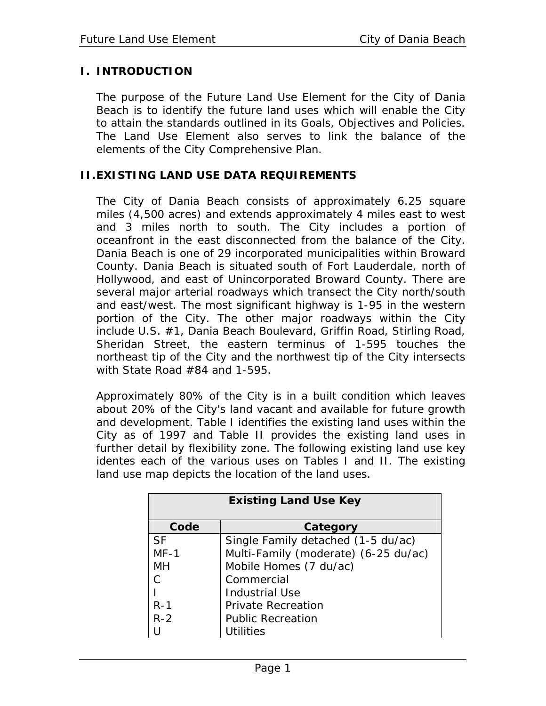#### **I. INTRODUCTION**

The purpose of the Future Land Use Element for the City of Dania Beach is to identify the future land uses which will enable the City to attain the standards outlined in its Goals, Objectives and Policies. The Land Use Element also serves to link the balance of the elements of the City Comprehensive Plan.

#### **II.EXISTING LAND USE DATA REQUIREMENTS**

The City of Dania Beach consists of approximately 6.25 square miles (4,500 acres) and extends approximately 4 miles east to west and 3 miles north to south. The City includes a portion of oceanfront in the east disconnected from the balance of the City. Dania Beach is one of 29 incorporated municipalities within Broward County. Dania Beach is situated south of Fort Lauderdale, north of Hollywood, and east of Unincorporated Broward County. There are several major arterial roadways which transect the City north/south and east/west. The most significant highway is 1-95 in the western portion of the City. The other major roadways within the City include U.S. #1, Dania Beach Boulevard, Griffin Road, Stirling Road, Sheridan Street, the eastern terminus of 1-595 touches the northeast tip of the City and the northwest tip of the City intersects with State Road #84 and 1-595.

Approximately 80% of the City is in a built condition which leaves about 20% of the City's land vacant and available for future growth and development. Table I identifies the existing land uses within the City as of 1997 and Table II provides the existing land uses in further detail by flexibility zone. The following existing land use key identes each of the various uses on Tables I and II. The existing land use map depicts the location of the land uses.

| <b>Existing Land Use Key</b> |                                      |  |  |  |
|------------------------------|--------------------------------------|--|--|--|
| Code                         | Category                             |  |  |  |
| <b>SF</b>                    | Single Family detached (1-5 du/ac)   |  |  |  |
| $MF-1$                       | Multi-Family (moderate) (6-25 du/ac) |  |  |  |
| MH                           | Mobile Homes (7 du/ac)               |  |  |  |
|                              | Commercial                           |  |  |  |
|                              | <b>Industrial Use</b>                |  |  |  |
| $R-1$                        | <b>Private Recreation</b>            |  |  |  |
| $R-2$                        | <b>Public Recreation</b>             |  |  |  |
|                              | Utilities                            |  |  |  |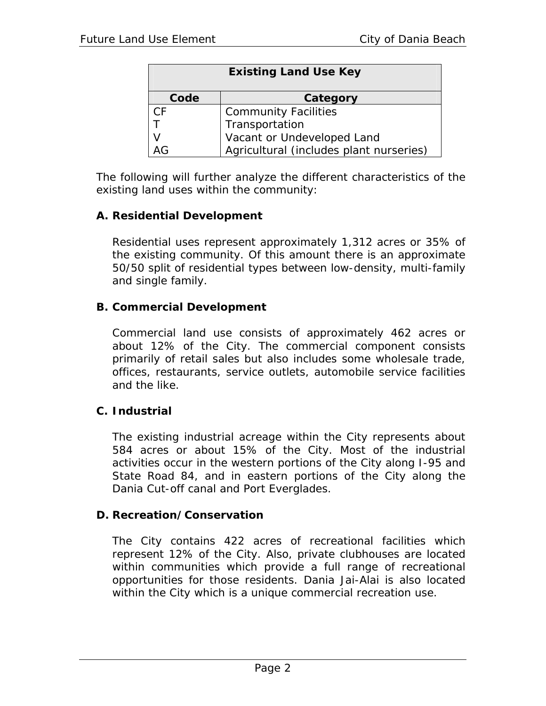| <b>Existing Land Use Key</b> |                                         |  |  |  |
|------------------------------|-----------------------------------------|--|--|--|
| Code<br>Category             |                                         |  |  |  |
| СF                           | <b>Community Facilities</b>             |  |  |  |
|                              | Transportation                          |  |  |  |
|                              | Vacant or Undeveloped Land              |  |  |  |
|                              | Agricultural (includes plant nurseries) |  |  |  |

The following will further analyze the different characteristics of the existing land uses within the community:

#### **A. Residential Development**

Residential uses represent approximately 1,312 acres or 35% of the existing community. Of this amount there is an approximate 50/50 split of residential types between low-density, multi-family and single family.

#### **B. Commercial Development**

Commercial land use consists of approximately 462 acres or about 12% of the City. The commercial component consists primarily of retail sales but also includes some wholesale trade, offices, restaurants, service outlets, automobile service facilities and the like.

#### **C. Industrial**

The existing industrial acreage within the City represents about 584 acres or about 15% of the City. Most of the industrial activities occur in the western portions of the City along I-95 and State Road 84, and in eastern portions of the City along the Dania Cut-off canal and Port Everglades.

#### **D. Recreation/Conservation**

The City contains 422 acres of recreational facilities which represent 12% of the City. Also, private clubhouses are located within communities which provide a full range of recreational opportunities for those residents. Dania Jai-Alai is also located within the City which is a unique commercial recreation use.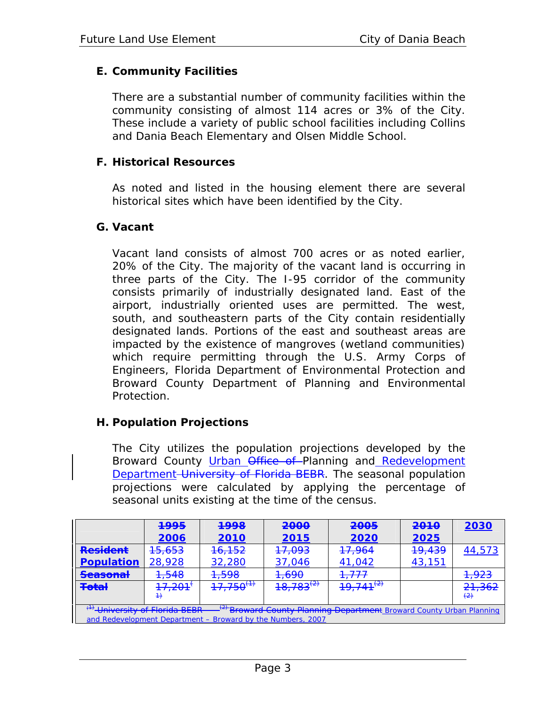#### **E. Community Facilities**

There are a substantial number of community facilities within the community consisting of almost 114 acres or 3% of the City. These include a variety of public school facilities including Collins and Dania Beach Elementary and Olsen Middle School.

#### **F. Historical Resources**

As noted and listed in the housing element there are several historical sites which have been identified by the City.

#### **G. Vacant**

Vacant land consists of almost 700 acres or as noted earlier, 20% of the City. The majority of the vacant land is occurring in three parts of the City. The I-95 corridor of the community consists primarily of industrially designated land. East of the airport, industrially oriented uses are permitted. The west, south, and southeastern parts of the City contain residentially designated lands. Portions of the east and southeast areas are impacted by the existence of mangroves (wetland communities) which require permitting through the U.S. Army Corps of Engineers, Florida Department of Environmental Protection and Broward County Department of Planning and Environmental Protection.

#### **H. Population Projections**

The City utilizes the population projections developed by the Broward County Urban Office of Planning and Redevelopment Department University of Florida BEBR. The seasonal population projections were calculated by applying the percentage of seasonal units existing at the time of the census.

|                                                                                                                                                                                              | <b>1995</b>                        | 1998              | 2000              | 2005                              | 2010              | 2030                        |
|----------------------------------------------------------------------------------------------------------------------------------------------------------------------------------------------|------------------------------------|-------------------|-------------------|-----------------------------------|-------------------|-----------------------------|
|                                                                                                                                                                                              | 2006                               | <b>2010</b>       | 2015              | 2020                              | 2025              |                             |
| <b>Resident</b>                                                                                                                                                                              | <del>15,653</del>                  | <del>16,152</del> | <del>17,093</del> | <del>17,964</del>                 | <del>19,439</del> | 44,573                      |
| <b>Population</b>                                                                                                                                                                            | 28,928                             | 32,280            | 37,046            | 41,042                            | 43,151            |                             |
| <del>Seasonal</del>                                                                                                                                                                          | 1,548                              | 1,598             | <del>1,690</del>  | <u> 1 777</u><br><del>1.777</del> |                   | 1,923                       |
| <b>Total</b>                                                                                                                                                                                 | <del>17,201</del><br>$\rightarrow$ | $17,750^{(1)}$    | $18,783^{(2)}$    | $19,741^{(2)}$                    |                   | 21,362<br>$\leftrightarrow$ |
| <sup>[2]</sup> Broward County Planning Department Broward County Urban Planning<br><sup>(1)</sup> -University of Florida BEBR<br>and Redevelopment Department – Broward by the Numbers, 2007 |                                    |                   |                   |                                   |                   |                             |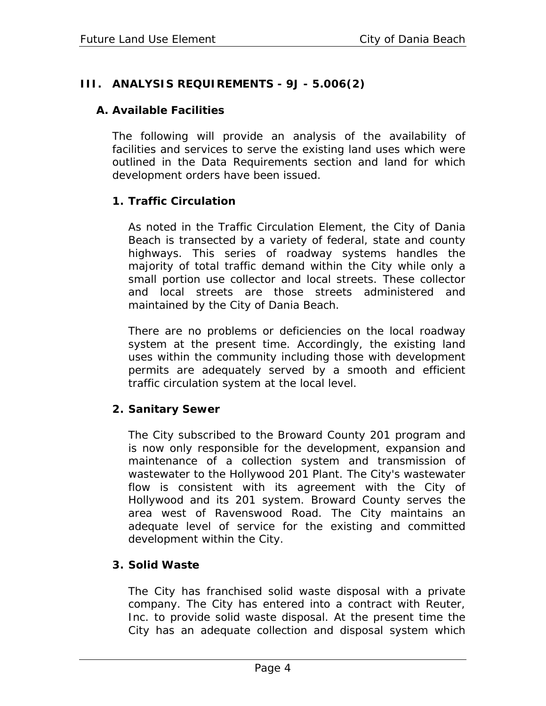#### **III. ANALYSIS REQUIREMENTS - 9J - 5.006(2)**

#### **A. Available Facilities**

The following will provide an analysis of the availability of facilities and services to serve the existing land uses which were outlined in the Data Requirements section and land for which development orders have been issued.

#### **1. Traffic Circulation**

As noted in the Traffic Circulation Element, the City of Dania Beach is transected by a variety of federal, state and county highways. This series of roadway systems handles the majority of total traffic demand within the City while only a small portion use collector and local streets. These collector and local streets are those streets administered and maintained by the City of Dania Beach.

There are no problems or deficiencies on the local roadway system at the present time. Accordingly, the existing land uses within the community including those with development permits are adequately served by a smooth and efficient traffic circulation system at the local level.

#### **2. Sanitary Sewer**

The City subscribed to the Broward County 201 program and is now only responsible for the development, expansion and maintenance of a collection system and transmission of wastewater to the Hollywood 201 Plant. The City's wastewater flow is consistent with its agreement with the City of Hollywood and its 201 system. Broward County serves the area west of Ravenswood Road. The City maintains an adequate level of service for the existing and committed development within the City.

#### **3. Solid Waste**

The City has franchised solid waste disposal with a private company. The City has entered into a contract with Reuter, Inc. to provide solid waste disposal. At the present time the City has an adequate collection and disposal system which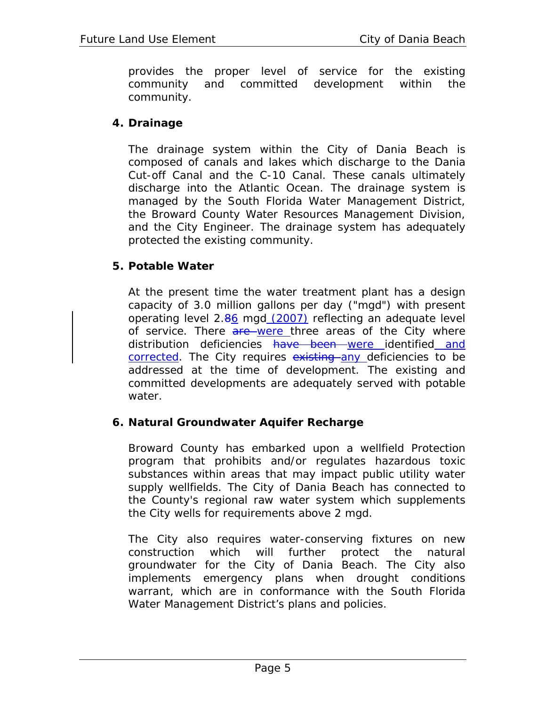provides the proper level of service for the existing community and committed development within the community.

#### **4. Drainage**

The drainage system within the City of Dania Beach is composed of canals and lakes which discharge to the Dania Cut-off Canal and the C-10 Canal. These canals ultimately discharge into the Atlantic Ocean. The drainage system is managed by the South Florida Water Management District, the Broward County Water Resources Management Division, and the City Engineer. The drainage system has adequately protected the existing community.

#### **5. Potable Water**

At the present time the water treatment plant has a design capacity of 3.0 million gallons per day ("mgd") with present operating level 2.86 mgd (2007) reflecting an adequate level of service. There are were three areas of the City where distribution deficiencies have been were identified and corrected. The City requires existing any deficiencies to be addressed at the time of development. The existing and committed developments are adequately served with potable water.

#### **6. Natural Groundwater Aquifer Recharge**

Broward County has embarked upon a wellfield Protection program that prohibits and/or regulates hazardous toxic substances within areas that may impact public utility water supply wellfields. The City of Dania Beach has connected to the County's regional raw water system which supplements the City wells for requirements above 2 mgd.

The City also requires water-conserving fixtures on new construction which will further protect the natural groundwater for the City of Dania Beach. The City also implements emergency plans when drought conditions warrant, which are in conformance with the South Florida Water Management District's plans and policies.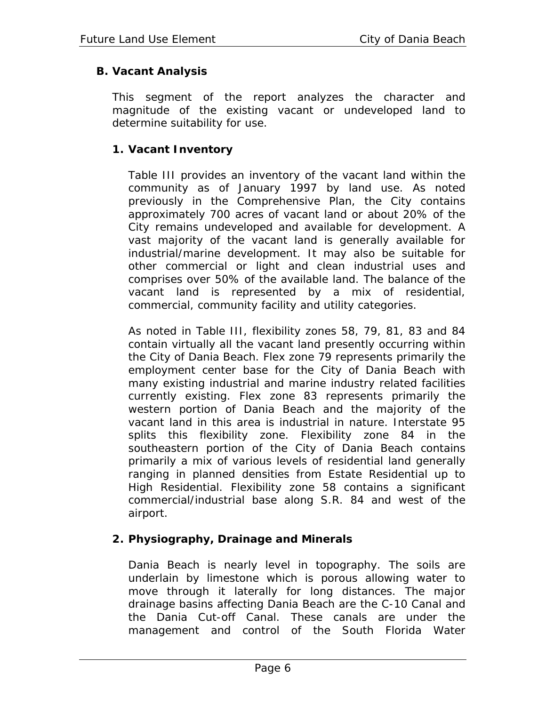#### **B. Vacant Analysis**

This segment of the report analyzes the character and magnitude of the existing vacant or undeveloped land to determine suitability for use.

#### **1. Vacant Inventory**

Table III provides an inventory of the vacant land within the community as of January 1997 by land use. As noted previously in the Comprehensive Plan, the City contains approximately 700 acres of vacant land or about 20% of the City remains undeveloped and available for development. A vast majority of the vacant land is generally available for industrial/marine development. It may also be suitable for other commercial or light and clean industrial uses and comprises over 50% of the available land. The balance of the vacant land is represented by a mix of residential, commercial, community facility and utility categories.

As noted in Table III, flexibility zones 58, 79, 81, 83 and 84 contain virtually all the vacant land presently occurring within the City of Dania Beach. Flex zone 79 represents primarily the employment center base for the City of Dania Beach with many existing industrial and marine industry related facilities currently existing. Flex zone 83 represents primarily the western portion of Dania Beach and the majority of the vacant land in this area is industrial in nature. Interstate 95 splits this flexibility zone. Flexibility zone 84 in the southeastern portion of the City of Dania Beach contains primarily a mix of various levels of residential land generally ranging in planned densities from Estate Residential up to High Residential. Flexibility zone 58 contains a significant commercial/industrial base along S.R. 84 and west of the airport.

#### **2. Physiography, Drainage and Minerals**

Dania Beach is nearly level in topography. The soils are underlain by limestone which is porous allowing water to move through it laterally for long distances. The major drainage basins affecting Dania Beach are the C-10 Canal and the Dania Cut-off Canal. These canals are under the management and control of the South Florida Water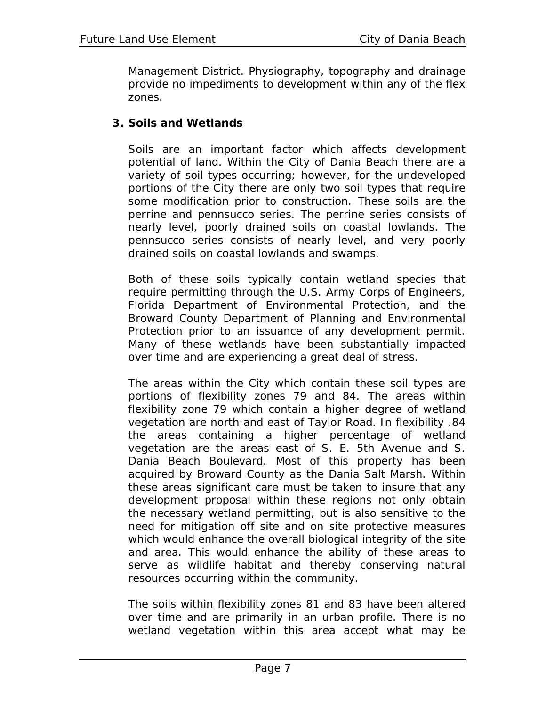Management District. Physiography, topography and drainage provide no impediments to development within any of the flex zones.

#### **3. Soils and Wetlands**

Soils are an important factor which affects development potential of land. Within the City of Dania Beach there are a variety of soil types occurring; however, for the undeveloped portions of the City there are only two soil types that require some modification prior to construction. These soils are the perrine and pennsucco series. The perrine series consists of nearly level, poorly drained soils on coastal lowlands. The pennsucco series consists of nearly level, and very poorly drained soils on coastal lowlands and swamps.

Both of these soils typically contain wetland species that require permitting through the U.S. Army Corps of Engineers, Florida Department of Environmental Protection, and the Broward County Department of Planning and Environmental Protection prior to an issuance of any development permit. Many of these wetlands have been substantially impacted over time and are experiencing a great deal of stress.

The areas within the City which contain these soil types are portions of flexibility zones 79 and 84. The areas within flexibility zone 79 which contain a higher degree of wetland vegetation are north and east of Taylor Road. In flexibility .84 the areas containing a higher percentage of wetland vegetation are the areas east of S. E. 5th Avenue and S. Dania Beach Boulevard. Most of this property has been acquired by Broward County as the Dania Salt Marsh. Within these areas significant care must be taken to insure that any development proposal within these regions not only obtain the necessary wetland permitting, but is also sensitive to the need for mitigation off site and on site protective measures which would enhance the overall biological integrity of the site and area. This would enhance the ability of these areas to serve as wildlife habitat and thereby conserving natural resources occurring within the community.

The soils within flexibility zones 81 and 83 have been altered over time and are primarily in an urban profile. There is no wetland vegetation within this area accept what may be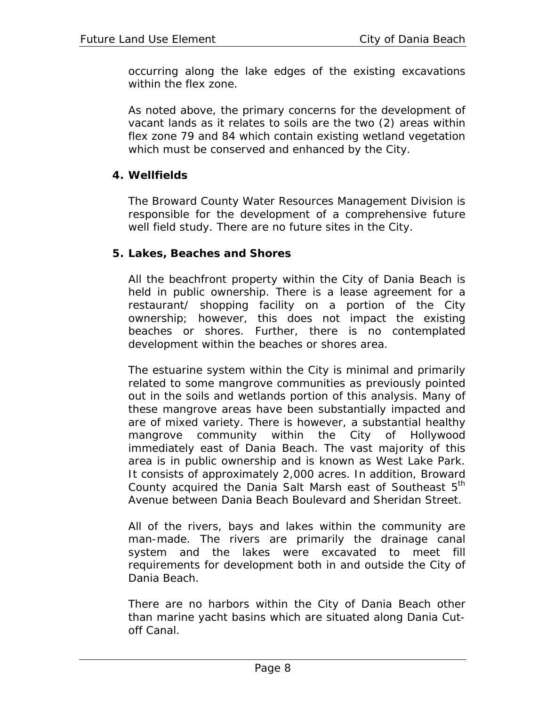occurring along the lake edges of the existing excavations within the flex zone.

As noted above, the primary concerns for the development of vacant lands as it relates to soils are the two (2) areas within flex zone 79 and 84 which contain existing wetland vegetation which must be conserved and enhanced by the City.

#### **4. Wellfields**

The Broward County Water Resources Management Division is responsible for the development of a comprehensive future well field study. There are no future sites in the City.

#### **5. Lakes, Beaches and Shores**

All the beachfront property within the City of Dania Beach is held in public ownership. There is a lease agreement for a restaurant/ shopping facility on a portion of the City ownership; however, this does not impact the existing beaches or shores. Further, there is no contemplated development within the beaches or shores area.

The estuarine system within the City is minimal and primarily related to some mangrove communities as previously pointed out in the soils and wetlands portion of this analysis. Many of these mangrove areas have been substantially impacted and are of mixed variety. There is however, a substantial healthy mangrove community within the City of Hollywood immediately east of Dania Beach. The vast majority of this area is in public ownership and is known as West Lake Park. It consists of approximately 2,000 acres. In addition, Broward County acquired the Dania Salt Marsh east of Southeast 5<sup>th</sup> Avenue between Dania Beach Boulevard and Sheridan Street.

All of the rivers, bays and lakes within the community are man-made. The rivers are primarily the drainage canal system and the lakes were excavated to meet fill requirements for development both in and outside the City of Dania Beach.

There are no harbors within the City of Dania Beach other than marine yacht basins which are situated along Dania Cutoff Canal.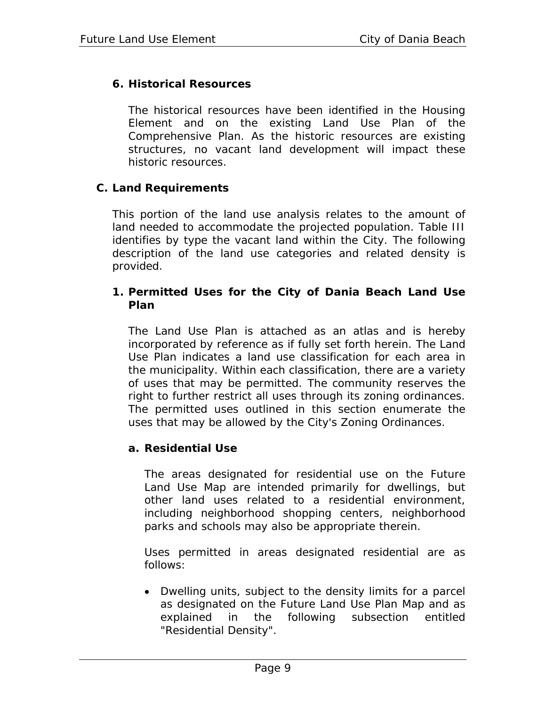#### **6. Historical Resources**

The historical resources have been identified in the Housing Element and on the existing Land Use Plan of the Comprehensive Plan. As the historic resources are existing structures, no vacant land development will impact these historic resources.

#### **C. Land Requirements**

This portion of the land use analysis relates to the amount of land needed to accommodate the projected population. Table III identifies by type the vacant land within the City. The following description of the land use categories and related density is provided.

#### **1. Permitted Uses for the City of Dania Beach Land Use Plan**

The Land Use Plan is attached as an atlas and is hereby incorporated by reference as if fully set forth herein. The Land Use Plan indicates a land use classification for each area in the municipality. Within each classification, there are a variety of uses that may be permitted. The community reserves the right to further restrict all uses through its zoning ordinances. The permitted uses outlined in this section enumerate the uses that may be allowed by the City's Zoning Ordinances.

#### **a. Residential Use**

The areas designated for residential use on the Future Land Use Map are intended primarily for dwellings, but other land uses related to a residential environment, including neighborhood shopping centers, neighborhood parks and schools may also be appropriate therein.

Uses permitted in areas designated residential are as follows:

• Dwelling units, subject to the density limits for a parcel as designated on the Future Land Use Plan Map and as explained in the following subsection entitled "Residential Density".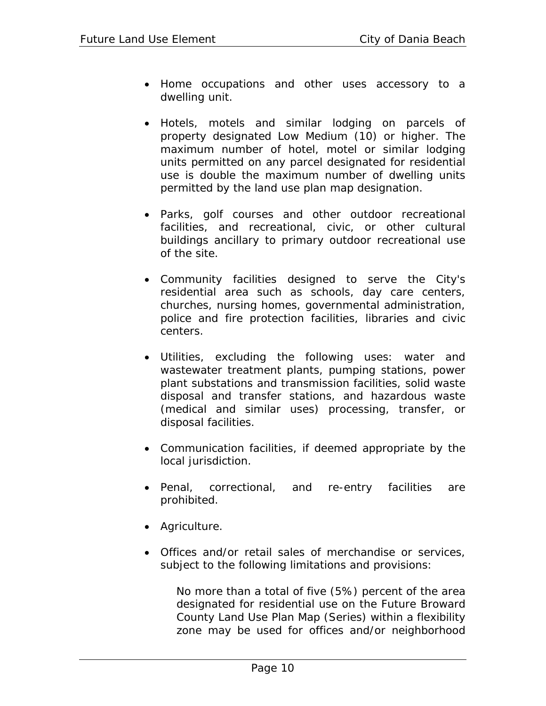- Home occupations and other uses accessory to a dwelling unit.
- Hotels, motels and similar lodging on parcels of property designated Low Medium (10) or higher. The maximum number of hotel, motel or similar lodging units permitted on any parcel designated for residential use is double the maximum number of dwelling units permitted by the land use plan map designation.
- Parks, golf courses and other outdoor recreational facilities, and recreational, civic, or other cultural buildings ancillary to primary outdoor recreational use of the site.
- Community facilities designed to serve the City's residential area such as schools, day care centers, churches, nursing homes, governmental administration, police and fire protection facilities, libraries and civic centers.
- Utilities, excluding the following uses: water and wastewater treatment plants, pumping stations, power plant substations and transmission facilities, solid waste disposal and transfer stations, and hazardous waste (medical and similar uses) processing, transfer, or disposal facilities.
- Communication facilities, if deemed appropriate by the local jurisdiction.
- Penal, correctional, and re-entry facilities are prohibited.
- Agriculture.
- Offices and/or retail sales of merchandise or services, subject to the following limitations and provisions:

No more than a total of five (5%) percent of the area designated for residential use on the Future Broward County Land Use Plan Map (Series) within a flexibility zone may be used for offices and/or neighborhood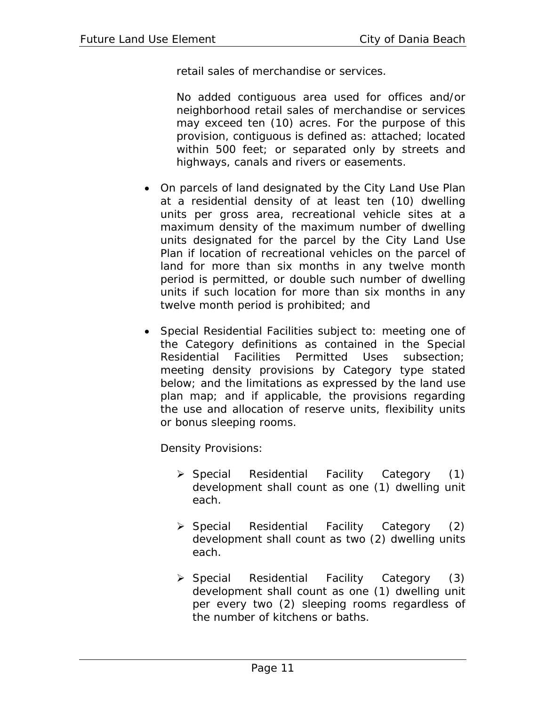retail sales of merchandise or services.

No added contiguous area used for offices and/or neighborhood retail sales of merchandise or services may exceed ten (10) acres. For the purpose of this provision, contiguous is defined as: attached; located within 500 feet; or separated only by streets and highways, canals and rivers or easements.

- On parcels of land designated by the City Land Use Plan at a residential density of at least ten (10) dwelling units per gross area, recreational vehicle sites at a maximum density of the maximum number of dwelling units designated for the parcel by the City Land Use Plan if location of recreational vehicles on the parcel of land for more than six months in any twelve month period is permitted, or double such number of dwelling units if such location for more than six months in any twelve month period is prohibited; and
- Special Residential Facilities subject to: meeting one of the Category definitions as contained in the Special Residential Facilities Permitted Uses subsection; meeting density provisions by Category type stated below; and the limitations as expressed by the land use plan map; and if applicable, the provisions regarding the use and allocation of reserve units, flexibility units or bonus sleeping rooms.

Density Provisions:

- ¾ Special Residential Facility Category (1) development shall count as one (1) dwelling unit each.
- ¾ Special Residential Facility Category (2) development shall count as two (2) dwelling units each.
- ¾ Special Residential Facility Category (3) development shall count as one (1) dwelling unit per every two (2) sleeping rooms regardless of the number of kitchens or baths.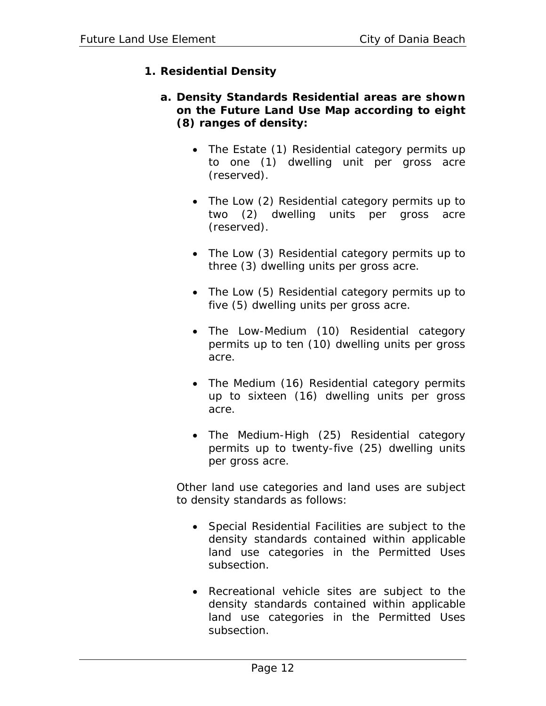#### **1. Residential Density**

- **a. Density Standards Residential areas are shown on the Future Land Use Map according to eight (8) ranges of density:** 
	- The Estate (1) Residential category permits up to one (1) dwelling unit per gross acre (reserved).
	- The Low (2) Residential category permits up to two (2) dwelling units per gross acre (reserved).
	- The Low (3) Residential category permits up to three (3) dwelling units per gross acre.
	- The Low (5) Residential category permits up to five (5) dwelling units per gross acre.
	- The Low-Medium (10) Residential category permits up to ten (10) dwelling units per gross acre.
	- The Medium (16) Residential category permits up to sixteen (16) dwelling units per gross acre.
	- The Medium-High (25) Residential category permits up to twenty-five (25) dwelling units per gross acre.

Other land use categories and land uses are subject to density standards as follows:

- Special Residential Facilities are subject to the density standards contained within applicable land use categories in the Permitted Uses subsection.
- Recreational vehicle sites are subject to the density standards contained within applicable land use categories in the Permitted Uses subsection.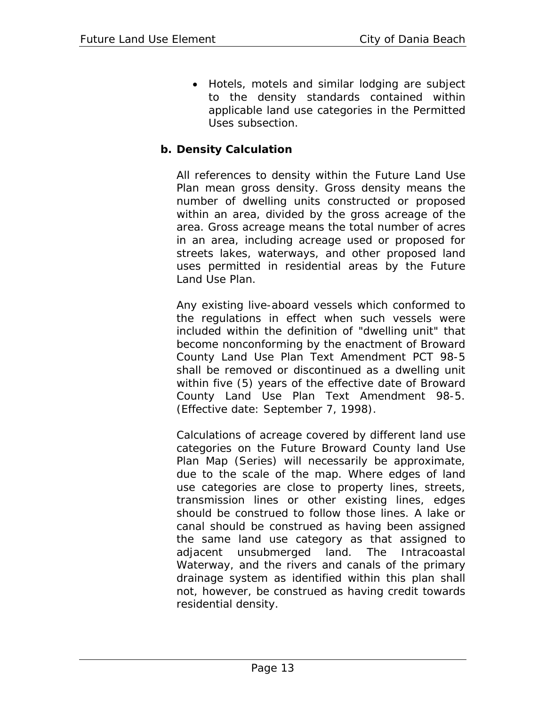• Hotels, motels and similar lodging are subject to the density standards contained within applicable land use categories in the Permitted Uses subsection.

### **b. Density Calculation**

All references to density within the Future Land Use Plan mean gross density. Gross density means the number of dwelling units constructed or proposed within an area, divided by the gross acreage of the area. Gross acreage means the total number of acres in an area, including acreage used or proposed for streets lakes, waterways, and other proposed land uses permitted in residential areas by the Future Land Use Plan.

Any existing live-aboard vessels which conformed to the regulations in effect when such vessels were included within the definition of "dwelling unit" that become nonconforming by the enactment of Broward County Land Use Plan Text Amendment PCT 98-5 shall be removed or discontinued as a dwelling unit within five (5) years of the effective date of Broward County Land Use Plan Text Amendment 98-5. (Effective date: September 7, 1998).

Calculations of acreage covered by different land use categories on the Future Broward County land Use Plan Map (Series) will necessarily be approximate, due to the scale of the map. Where edges of land use categories are close to property lines, streets, transmission lines or other existing lines, edges should be construed to follow those lines. A lake or canal should be construed as having been assigned the same land use category as that assigned to adjacent unsubmerged land. The Intracoastal Waterway, and the rivers and canals of the primary drainage system as identified within this plan shall not, however, be construed as having credit towards residential density.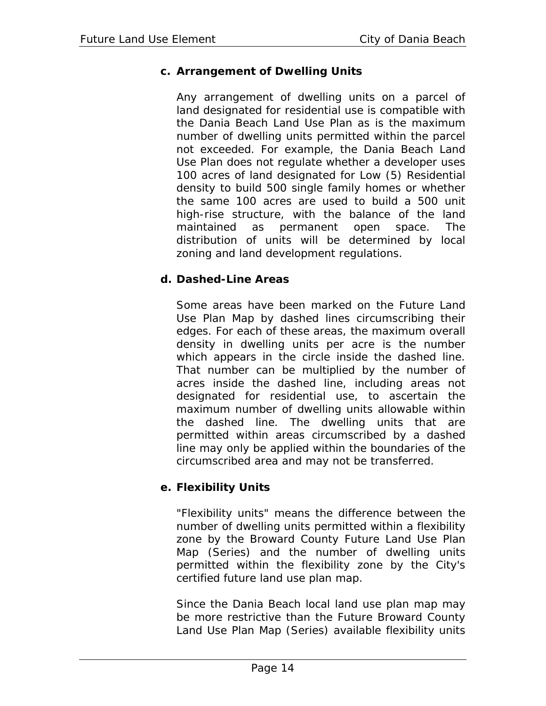#### **c. Arrangement of Dwelling Units**

Any arrangement of dwelling units on a parcel of land designated for residential use is compatible with the Dania Beach Land Use Plan as is the maximum number of dwelling units permitted within the parcel not exceeded. For example, the Dania Beach Land Use Plan does not regulate whether a developer uses 100 acres of land designated for Low (5) Residential density to build 500 single family homes or whether the same 100 acres are used to build a 500 unit high-rise structure, with the balance of the land maintained as permanent open space. The distribution of units will be determined by local zoning and land development regulations.

#### **d. Dashed-Line Areas**

Some areas have been marked on the Future Land Use Plan Map by dashed lines circumscribing their edges. For each of these areas, the maximum overall density in dwelling units per acre is the number which appears in the circle inside the dashed line. That number can be multiplied by the number of acres inside the dashed line, including areas not designated for residential use, to ascertain the maximum number of dwelling units allowable within the dashed line. The dwelling units that are permitted within areas circumscribed by a dashed line may only be applied within the boundaries of the circumscribed area and may not be transferred.

#### **e. Flexibility Units**

"Flexibility units" means the difference between the number of dwelling units permitted within a flexibility zone by the Broward County Future Land Use Plan Map (Series) and the number of dwelling units permitted within the flexibility zone by the City's certified future land use plan map.

Since the Dania Beach local land use plan map may be more restrictive than the Future Broward County Land Use Plan Map (Series) available flexibility units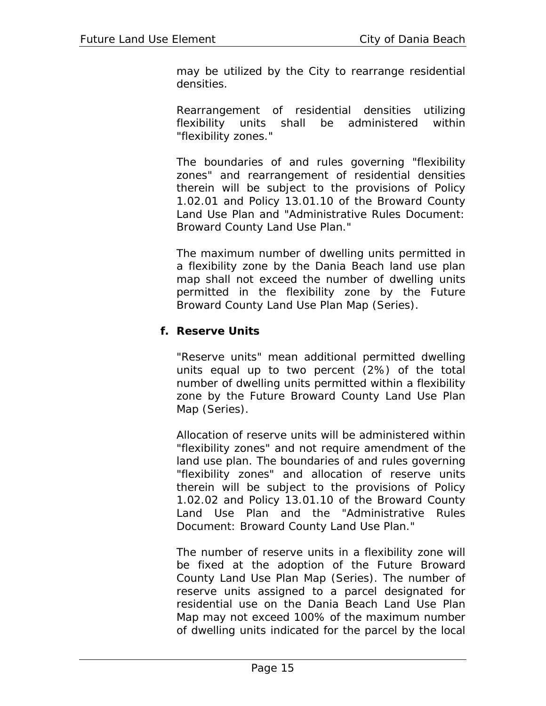may be utilized by the City to rearrange residential densities.

Rearrangement of residential densities utilizing flexibility units shall be administered within "flexibility zones."

The boundaries of and rules governing "flexibility zones" and rearrangement of residential densities therein will be subject to the provisions of Policy 1.02.01 and Policy 13.01.10 of the Broward County Land Use Plan and "Administrative Rules Document: Broward County Land Use Plan."

The maximum number of dwelling units permitted in a flexibility zone by the Dania Beach land use plan map shall not exceed the number of dwelling units permitted in the flexibility zone by the Future Broward County Land Use Plan Map (Series).

#### **f. Reserve Units**

"Reserve units" mean additional permitted dwelling units equal up to two percent (2%) of the total number of dwelling units permitted within a flexibility zone by the Future Broward County Land Use Plan Map (Series).

Allocation of reserve units will be administered within "flexibility zones" and not require amendment of the land use plan. The boundaries of and rules governing "flexibility zones" and allocation of reserve units therein will be subject to the provisions of Policy 1.02.02 and Policy 13.01.10 of the Broward County Land Use Plan and the "Administrative Rules Document: Broward County Land Use Plan."

The number of reserve units in a flexibility zone will be fixed at the adoption of the Future Broward County Land Use Plan Map (Series). The number of reserve units assigned to a parcel designated for residential use on the Dania Beach Land Use Plan Map may not exceed 100% of the maximum number of dwelling units indicated for the parcel by the local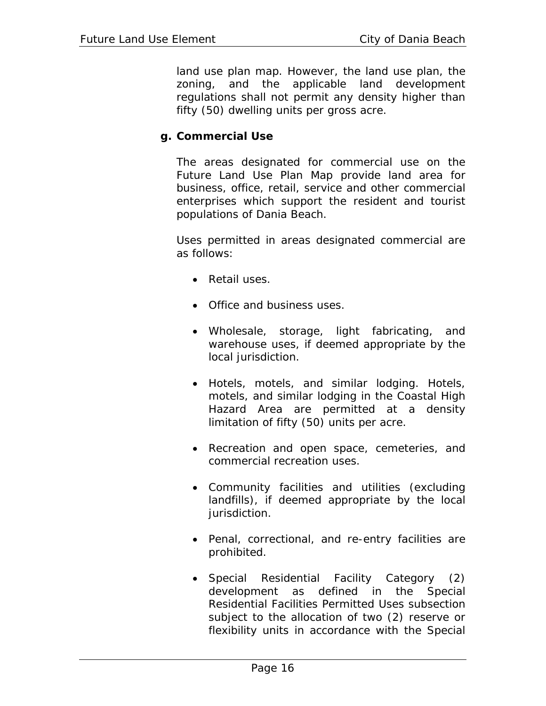land use plan map. However, the land use plan, the zoning, and the applicable land development regulations shall not permit any density higher than fifty (50) dwelling units per gross acre.

#### **g. Commercial Use**

The areas designated for commercial use on the Future Land Use Plan Map provide land area for business, office, retail, service and other commercial enterprises which support the resident and tourist populations of Dania Beach.

Uses permitted in areas designated commercial are as follows:

- Retail uses.
- Office and business uses.
- Wholesale, storage, light fabricating, and warehouse uses, if deemed appropriate by the local jurisdiction.
- Hotels, motels, and similar lodging. Hotels, motels, and similar lodging in the Coastal High Hazard Area are permitted at a density limitation of fifty (50) units per acre.
- Recreation and open space, cemeteries, and commercial recreation uses.
- Community facilities and utilities (excluding landfills), if deemed appropriate by the local jurisdiction.
- Penal, correctional, and re-entry facilities are prohibited.
- Special Residential Facility Category (2) development as defined in the Special Residential Facilities Permitted Uses subsection subject to the allocation of two (2) reserve or flexibility units in accordance with the Special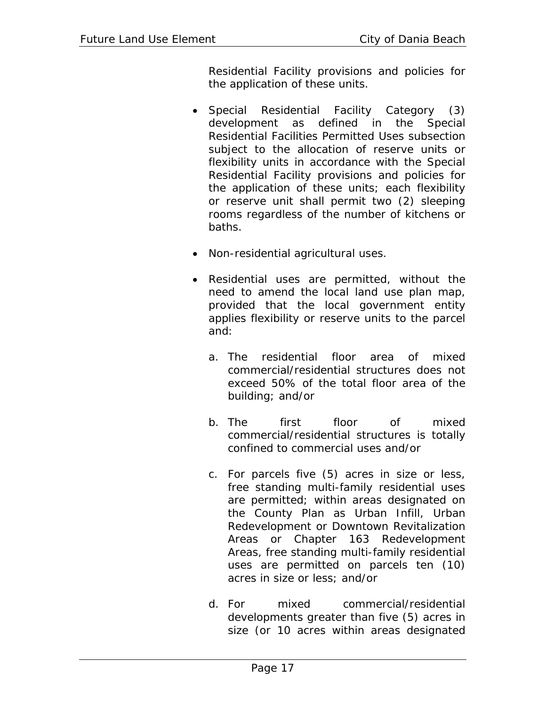Residential Facility provisions and policies for the application of these units.

- Special Residential Facility Category (3) development as defined in the Special Residential Facilities Permitted Uses subsection subject to the allocation of reserve units or flexibility units in accordance with the Special Residential Facility provisions and policies for the application of these units; each flexibility or reserve unit shall permit two (2) sleeping rooms regardless of the number of kitchens or baths.
- Non-residential agricultural uses.
- Residential uses are permitted, without the need to amend the local land use plan map, provided that the local government entity applies flexibility or reserve units to the parcel and:
	- a. The residential floor area of mixed commercial/residential structures does not exceed 50% of the total floor area of the building; and/or
	- b. The first floor of mixed commercial/residential structures is totally confined to commercial uses and/or
	- c. For parcels five (5) acres in size or less, free standing multi-family residential uses are permitted; within areas designated on the County Plan as Urban Infill, Urban Redevelopment or Downtown Revitalization Areas or Chapter 163 Redevelopment Areas, free standing multi-family residential uses are permitted on parcels ten (10) acres in size or less; and/or
	- d. For mixed commercial/residential developments greater than five (5) acres in size (or 10 acres within areas designated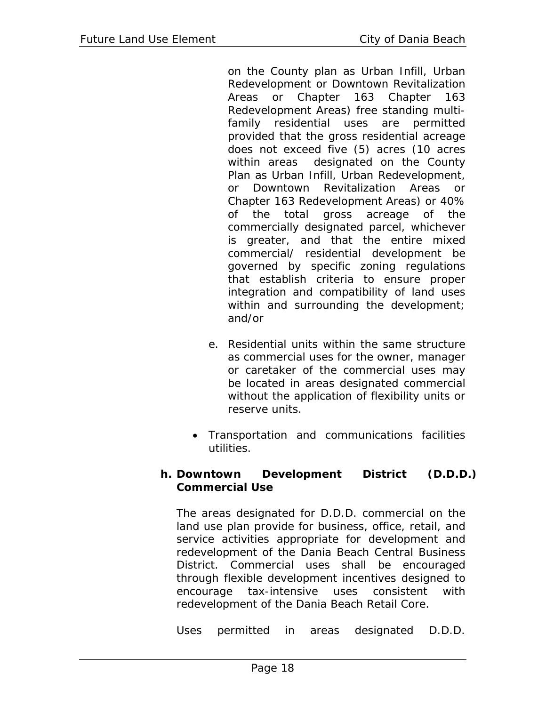on the County plan as Urban Infill, Urban Redevelopment or Downtown Revitalization Areas or Chapter 163 Chapter 163 Redevelopment Areas) free standing multifamily residential uses are permitted provided that the gross residential acreage does not exceed five (5) acres (10 acres within areas designated on the County Plan as Urban Infill, Urban Redevelopment, or Downtown Revitalization Areas or Chapter 163 Redevelopment Areas) or 40% of the total gross acreage of the commercially designated parcel, whichever is greater, and that the entire mixed commercial/ residential development be governed by specific zoning regulations that establish criteria to ensure proper integration and compatibility of land uses within and surrounding the development; and/or

- e. Residential units within the same structure as commercial uses for the owner, manager or caretaker of the commercial uses may be located in areas designated commercial without the application of flexibility units or reserve units.
- Transportation and communications facilities utilities.

#### **h. Downtown Development District (D.D.D.) Commercial Use**

The areas designated for D.D.D. commercial on the land use plan provide for business, office, retail, and service activities appropriate for development and redevelopment of the Dania Beach Central Business District. Commercial uses shall be encouraged through flexible development incentives designed to encourage tax-intensive uses consistent with redevelopment of the Dania Beach Retail Core.

Uses permitted in areas designated D.D.D.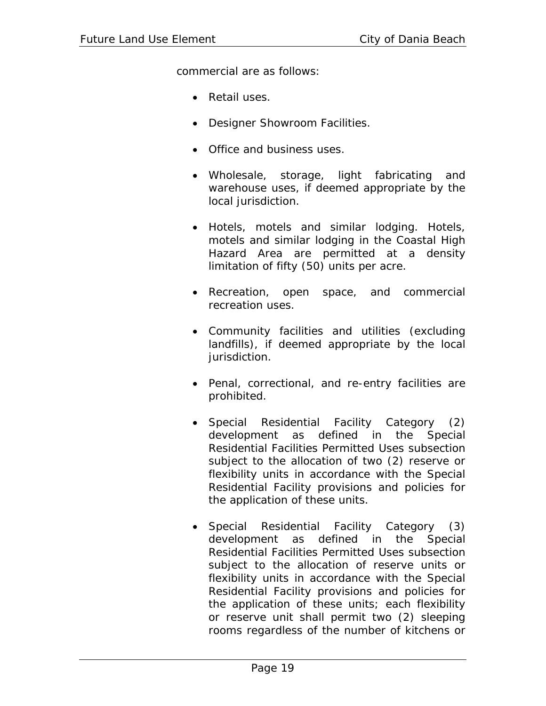commercial are as follows:

- Retail uses.
- Designer Showroom Facilities.
- Office and business uses.
- Wholesale, storage, light fabricating and warehouse uses, if deemed appropriate by the local jurisdiction.
- Hotels, motels and similar lodging. Hotels, motels and similar lodging in the Coastal High Hazard Area are permitted at a density limitation of fifty (50) units per acre.
- Recreation, open space, and commercial recreation uses.
- Community facilities and utilities (excluding landfills), if deemed appropriate by the local jurisdiction.
- Penal, correctional, and re-entry facilities are prohibited.
- Special Residential Facility Category (2) development as defined in the Special Residential Facilities Permitted Uses subsection subject to the allocation of two (2) reserve or flexibility units in accordance with the Special Residential Facility provisions and policies for the application of these units.
- Special Residential Facility Category (3) development as defined in the Special Residential Facilities Permitted Uses subsection subject to the allocation of reserve units or flexibility units in accordance with the Special Residential Facility provisions and policies for the application of these units; each flexibility or reserve unit shall permit two (2) sleeping rooms regardless of the number of kitchens or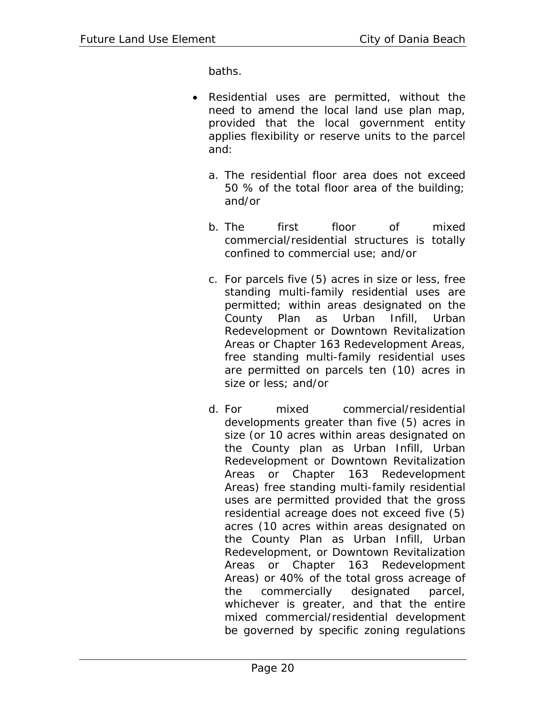baths.

- Residential uses are permitted, without the need to amend the local land use plan map, provided that the local government entity applies flexibility or reserve units to the parcel and:
	- a. The residential floor area does not exceed 50 % of the total floor area of the building; and/or
	- b. The first floor of mixed commercial/residential structures is totally confined to commercial use; and/or
	- c. For parcels five (5) acres in size or less, free standing multi-family residential uses are permitted; within areas designated on the County Plan as Urban Infill, Urban Redevelopment or Downtown Revitalization Areas or Chapter 163 Redevelopment Areas, free standing multi-family residential uses are permitted on parcels ten (10) acres in size or less; and/or
	- d. For mixed commercial/residential developments greater than five (5) acres in size (or 10 acres within areas designated on the County plan as Urban Infill, Urban Redevelopment or Downtown Revitalization Areas or Chapter 163 Redevelopment Areas) free standing multi-family residential uses are permitted provided that the gross residential acreage does not exceed five (5) acres (10 acres within areas designated on the County Plan as Urban Infill, Urban Redevelopment, or Downtown Revitalization Areas or Chapter 163 Redevelopment Areas) or 40% of the total gross acreage of the commercially designated parcel, whichever is greater, and that the entire mixed commercial/residential development be governed by specific zoning regulations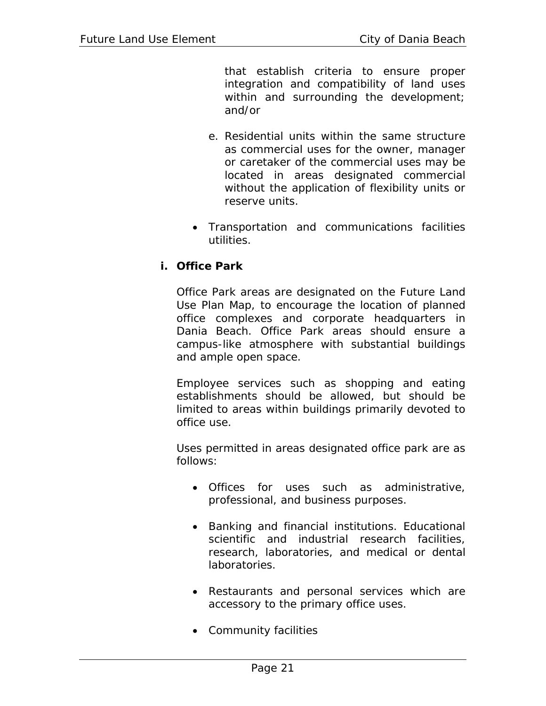that establish criteria to ensure proper integration and compatibility of land uses within and surrounding the development; and/or

- e. Residential units within the same structure as commercial uses for the owner, manager or caretaker of the commercial uses may be located in areas designated commercial without the application of flexibility units or reserve units.
- Transportation and communications facilities utilities.

#### **i. Office Park**

Office Park areas are designated on the Future Land Use Plan Map, to encourage the location of planned office complexes and corporate headquarters in Dania Beach. Office Park areas should ensure a campus-like atmosphere with substantial buildings and ample open space.

Employee services such as shopping and eating establishments should be allowed, but should be limited to areas within buildings primarily devoted to office use.

Uses permitted in areas designated office park are as follows:

- Offices for uses such as administrative, professional, and business purposes.
- Banking and financial institutions. Educational scientific and industrial research facilities, research, laboratories, and medical or dental laboratories.
- Restaurants and personal services which are accessory to the primary office uses.
- Community facilities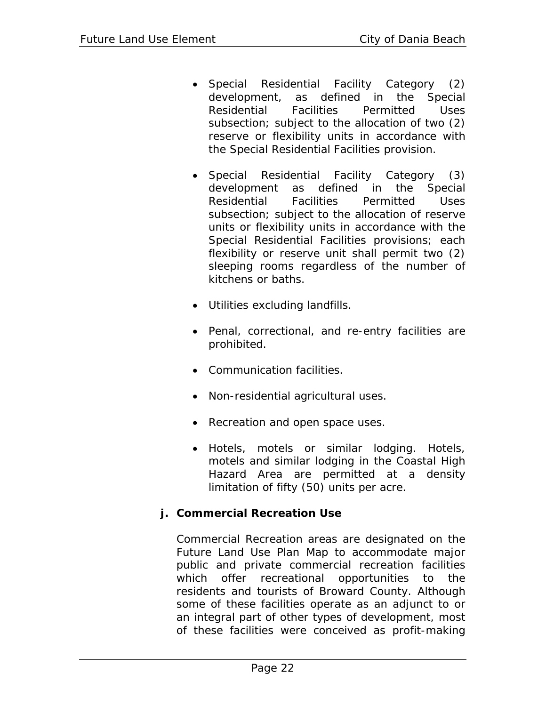- Special Residential Facility Category (2) development, as defined in the Special Residential Facilities Permitted Uses subsection; subject to the allocation of two (2) reserve or flexibility units in accordance with the Special Residential Facilities provision.
- Special Residential Facility Category (3) development as defined in the Special Residential Facilities Permitted Uses subsection; subject to the allocation of reserve units or flexibility units in accordance with the Special Residential Facilities provisions; each flexibility or reserve unit shall permit two (2) sleeping rooms regardless of the number of kitchens or baths.
- Utilities excluding landfills.
- Penal, correctional, and re-entry facilities are prohibited.
- Communication facilities.
- Non-residential agricultural uses.
- Recreation and open space uses.
- Hotels, motels or similar lodging. Hotels, motels and similar lodging in the Coastal High Hazard Area are permitted at a density limitation of fifty (50) units per acre.

#### **j. Commercial Recreation Use**

Commercial Recreation areas are designated on the Future Land Use Plan Map to accommodate major public and private commercial recreation facilities which offer recreational opportunities to the residents and tourists of Broward County. Although some of these facilities operate as an adjunct to or an integral part of other types of development, most of these facilities were conceived as profit-making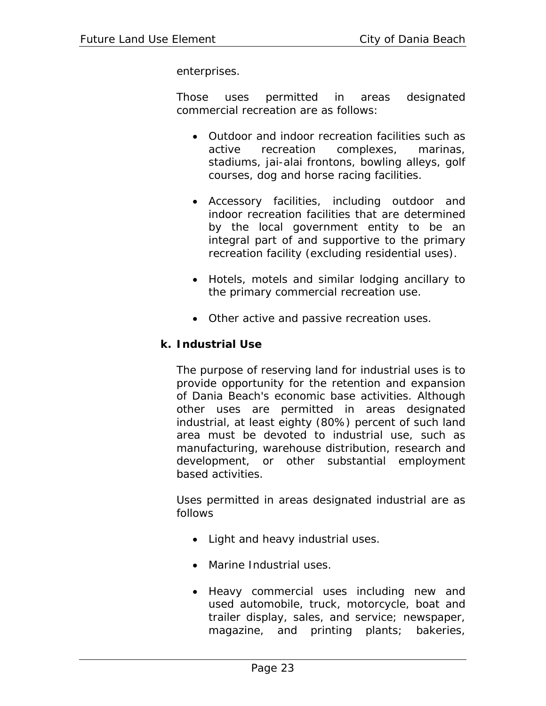enterprises.

Those uses permitted in areas designated commercial recreation are as follows:

- Outdoor and indoor recreation facilities such as active recreation complexes, marinas, stadiums, jai-alai frontons, bowling alleys, golf courses, dog and horse racing facilities.
- Accessory facilities, including outdoor and indoor recreation facilities that are determined by the local government entity to be an integral part of and supportive to the primary recreation facility (excluding residential uses).
- Hotels, motels and similar lodging ancillary to the primary commercial recreation use.
- Other active and passive recreation uses.

#### **k. Industrial Use**

The purpose of reserving land for industrial uses is to provide opportunity for the retention and expansion of Dania Beach's economic base activities. Although other uses are permitted in areas designated industrial, at least eighty (80%) percent of such land area must be devoted to industrial use, such as manufacturing, warehouse distribution, research and development, or other substantial employment based activities.

Uses permitted in areas designated industrial are as follows

- Light and heavy industrial uses.
- Marine Industrial uses.
- Heavy commercial uses including new and used automobile, truck, motorcycle, boat and trailer display, sales, and service; newspaper, magazine, and printing plants; bakeries,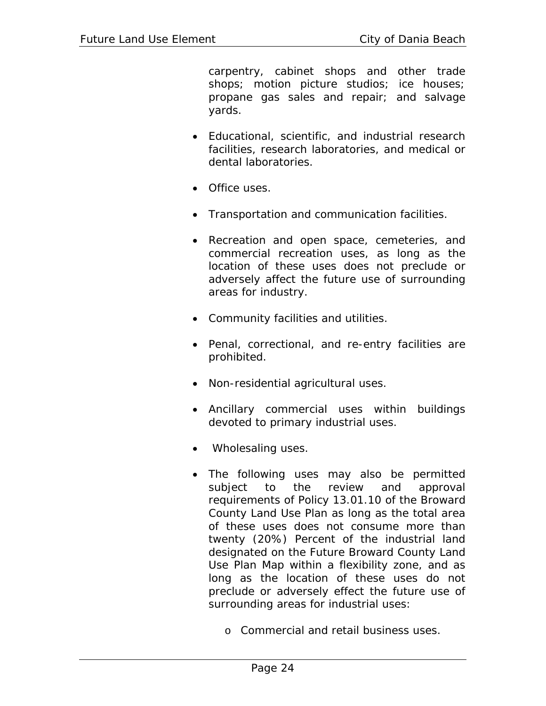carpentry, cabinet shops and other trade shops; motion picture studios; ice houses; propane gas sales and repair; and salvage yards.

- Educational, scientific, and industrial research facilities, research laboratories, and medical or dental laboratories.
- Office uses.
- Transportation and communication facilities.
- Recreation and open space, cemeteries, and commercial recreation uses, as long as the location of these uses does not preclude or adversely affect the future use of surrounding areas for industry.
- Community facilities and utilities.
- Penal, correctional, and re-entry facilities are prohibited.
- Non-residential agricultural uses.
- Ancillary commercial uses within buildings devoted to primary industrial uses.
- Wholesaling uses.
- The following uses may also be permitted subject to the review and approval requirements of Policy 13.01.10 of the Broward County Land Use Plan as long as the total area of these uses does not consume more than twenty (20%) Percent of the industrial land designated on the Future Broward County Land Use Plan Map within a flexibility zone, and as long as the location of these uses do not preclude or adversely effect the future use of surrounding areas for industrial uses:
	- o Commercial and retail business uses.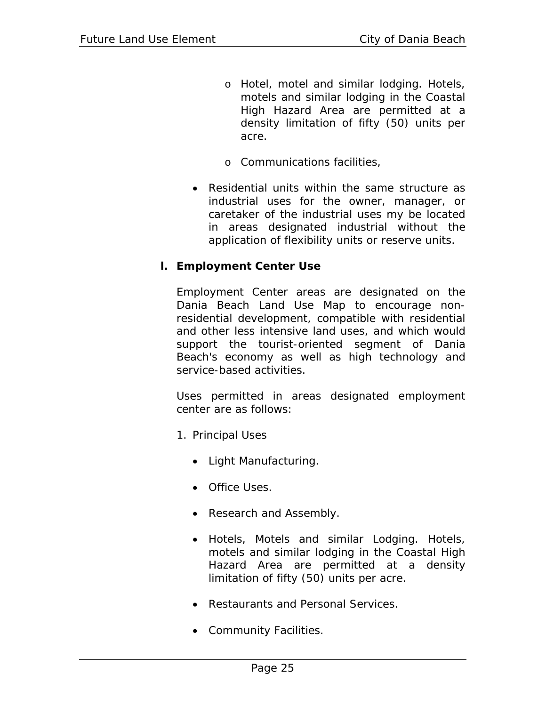- o Hotel, motel and similar lodging. Hotels, motels and similar lodging in the Coastal High Hazard Area are permitted at a density limitation of fifty (50) units per acre.
- o Communications facilities,
- Residential units within the same structure as industrial uses for the owner, manager, or caretaker of the industrial uses my be located in areas designated industrial without the application of flexibility units or reserve units.

#### **l. Employment Center Use**

Employment Center areas are designated on the Dania Beach Land Use Map to encourage nonresidential development, compatible with residential and other less intensive land uses, and which would support the tourist-oriented segment of Dania Beach's economy as well as high technology and service-based activities.

Uses permitted in areas designated employment center are as follows:

- 1. Principal Uses
	- Light Manufacturing.
	- Office Uses.
	- Research and Assembly.
	- Hotels, Motels and similar Lodging. Hotels, motels and similar lodging in the Coastal High Hazard Area are permitted at a density limitation of fifty (50) units per acre.
	- Restaurants and Personal Services.
	- Community Facilities.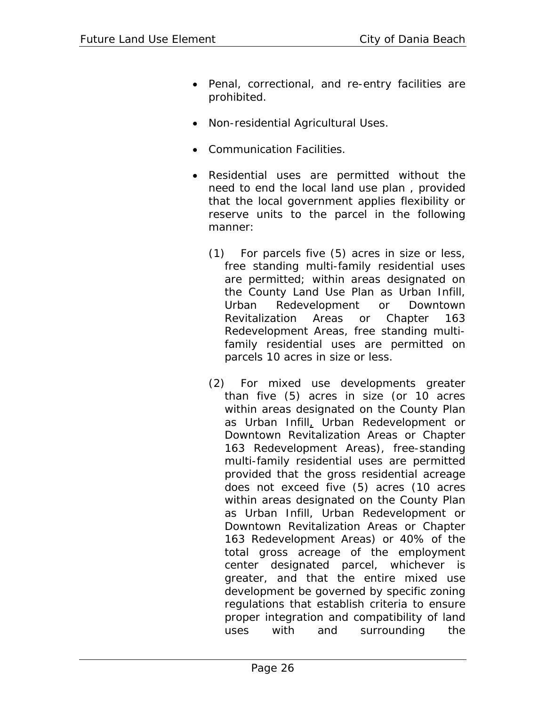- Penal, correctional, and re-entry facilities are prohibited.
- Non-residential Agricultural Uses.
- Communication Facilities.
- Residential uses are permitted without the need to end the local land use plan , provided that the local government applies flexibility or reserve units to the parcel in the following manner:
	- (1) For parcels five (5) acres in size or less, free standing multi-family residential uses are permitted; within areas designated on the County Land Use Plan as Urban Infill, Urban Redevelopment or Downtown Revitalization Areas or Chapter 163 Redevelopment Areas, free standing multifamily residential uses are permitted on parcels 10 acres in size or less.
	- (2) For mixed use developments greater than five (5) acres in size (or 10 acres within areas designated on the County Plan as Urban Infill, Urban Redevelopment or Downtown Revitalization Areas or Chapter 163 Redevelopment Areas), free-standing multi-family residential uses are permitted provided that the gross residential acreage does not exceed five (5) acres (10 acres within areas designated on the County Plan as Urban Infill, Urban Redevelopment or Downtown Revitalization Areas or Chapter 163 Redevelopment Areas) or 40% of the total gross acreage of the employment center designated parcel, whichever is greater, and that the entire mixed use development be governed by specific zoning regulations that establish criteria to ensure proper integration and compatibility of land uses with and surrounding the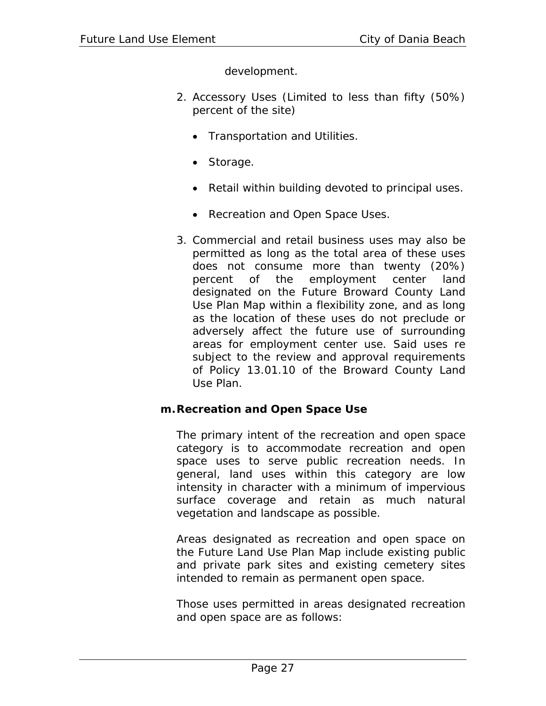development.

- 2. Accessory Uses (Limited to less than fifty (50%) percent of the site)
	- Transportation and Utilities.
	- Storage.
	- Retail within building devoted to principal uses.
	- Recreation and Open Space Uses.
- 3. Commercial and retail business uses may also be permitted as long as the total area of these uses does not consume more than twenty (20%) percent of the employment center land designated on the Future Broward County Land Use Plan Map within a flexibility zone, and as long as the location of these uses do not preclude or adversely affect the future use of surrounding areas for employment center use. Said uses re subject to the review and approval requirements of Policy 13.01.10 of the Broward County Land Use Plan.

#### **m.Recreation and Open Space Use**

The primary intent of the recreation and open space category is to accommodate recreation and open space uses to serve public recreation needs. In general, land uses within this category are low intensity in character with a minimum of impervious surface coverage and retain as much natural vegetation and landscape as possible.

Areas designated as recreation and open space on the Future Land Use Plan Map include existing public and private park sites and existing cemetery sites intended to remain as permanent open space.

Those uses permitted in areas designated recreation and open space are as follows: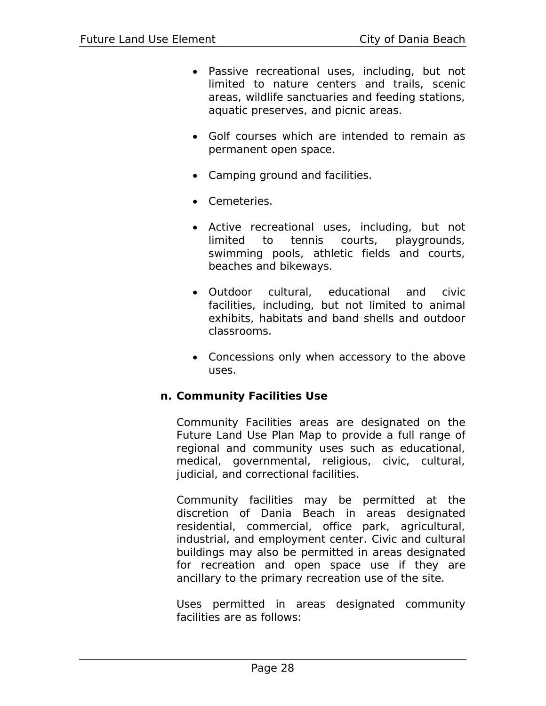- Passive recreational uses, including, but not limited to nature centers and trails, scenic areas, wildlife sanctuaries and feeding stations, aquatic preserves, and picnic areas.
- Golf courses which are intended to remain as permanent open space.
- Camping ground and facilities.
- Cemeteries.
- Active recreational uses, including, but not limited to tennis courts, playgrounds, swimming pools, athletic fields and courts, beaches and bikeways.
- Outdoor cultural, educational and civic facilities, including, but not limited to animal exhibits, habitats and band shells and outdoor classrooms.
- Concessions only when accessory to the above uses.

#### **n. Community Facilities Use**

Community Facilities areas are designated on the Future Land Use Plan Map to provide a full range of regional and community uses such as educational, medical, governmental, religious, civic, cultural, judicial, and correctional facilities.

Community facilities may be permitted at the discretion of Dania Beach in areas designated residential, commercial, office park, agricultural, industrial, and employment center. Civic and cultural buildings may also be permitted in areas designated for recreation and open space use if they are ancillary to the primary recreation use of the site.

Uses permitted in areas designated community facilities are as follows: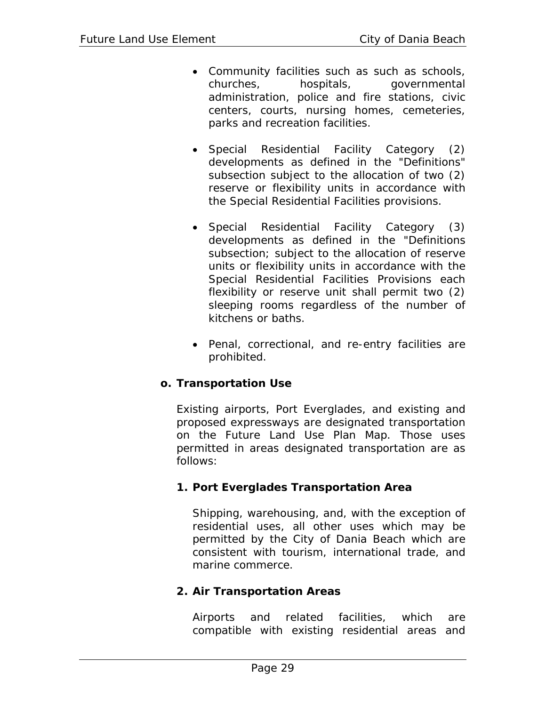- Community facilities such as such as schools, churches, hospitals, governmental administration, police and fire stations, civic centers, courts, nursing homes, cemeteries, parks and recreation facilities.
- Special Residential Facility Category (2) developments as defined in the "Definitions" subsection subject to the allocation of two (2) reserve or flexibility units in accordance with the Special Residential Facilities provisions.
- Special Residential Facility Category (3) developments as defined in the "Definitions subsection; subject to the allocation of reserve units or flexibility units in accordance with the Special Residential Facilities Provisions each flexibility or reserve unit shall permit two (2) sleeping rooms regardless of the number of kitchens or baths.
- Penal, correctional, and re-entry facilities are prohibited.

#### **o. Transportation Use**

Existing airports, Port Everglades, and existing and proposed expressways are designated transportation on the Future Land Use Plan Map. Those uses permitted in areas designated transportation are as follows:

#### **1. Port Everglades Transportation Area**

Shipping, warehousing, and, with the exception of residential uses, all other uses which may be permitted by the City of Dania Beach which are consistent with tourism, international trade, and marine commerce.

#### **2. Air Transportation Areas**

Airports and related facilities, which are compatible with existing residential areas and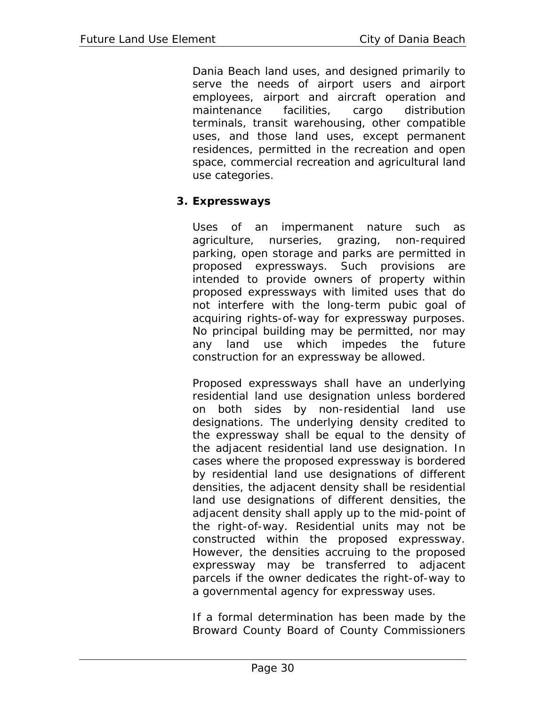Dania Beach land uses, and designed primarily to serve the needs of airport users and airport employees, airport and aircraft operation and maintenance facilities, cargo distribution terminals, transit warehousing, other compatible uses, and those land uses, except permanent residences, permitted in the recreation and open space, commercial recreation and agricultural land use categories.

#### **3. Expressways**

Uses of an impermanent nature such as agriculture, nurseries, grazing, non-required parking, open storage and parks are permitted in proposed expressways. Such provisions are intended to provide owners of property within proposed expressways with limited uses that do not interfere with the long-term pubic goal of acquiring rights-of-way for expressway purposes. No principal building may be permitted, nor may any land use which impedes the future construction for an expressway be allowed.

Proposed expressways shall have an underlying residential land use designation unless bordered on both sides by non-residential land use designations. The underlying density credited to the expressway shall be equal to the density of the adjacent residential land use designation. In cases where the proposed expressway is bordered by residential land use designations of different densities, the adjacent density shall be residential land use designations of different densities, the adjacent density shall apply up to the mid-point of the right-of-way. Residential units may not be constructed within the proposed expressway. However, the densities accruing to the proposed expressway may be transferred to adjacent parcels if the owner dedicates the right-of-way to a governmental agency for expressway uses.

If a formal determination has been made by the Broward County Board of County Commissioners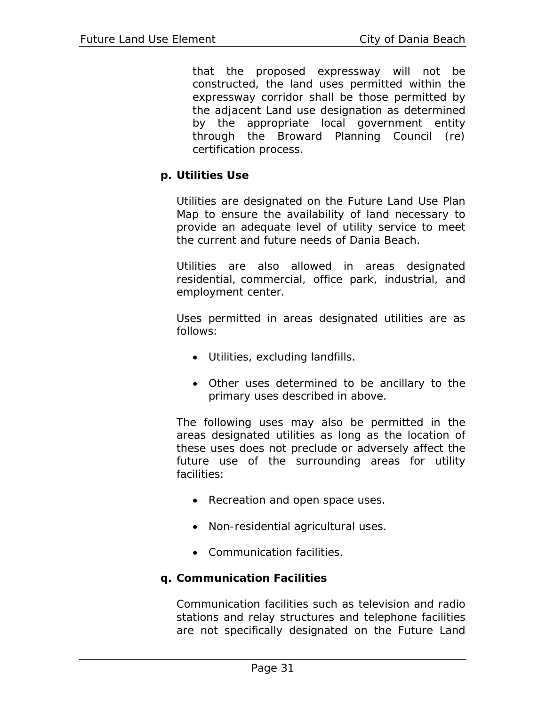that the proposed expressway will not be constructed, the land uses permitted within the expressway corridor shall be those permitted by the adjacent Land use designation as determined by the appropriate local government entity through the Broward Planning Council (re) certification process.

#### **p. Utilities Use**

Utilities are designated on the Future Land Use Plan Map to ensure the availability of land necessary to provide an adequate level of utility service to meet the current and future needs of Dania Beach.

Utilities are also allowed in areas designated residential, commercial, office park, industrial, and employment center.

Uses permitted in areas designated utilities are as follows:

- Utilities, excluding landfills.
- Other uses determined to be ancillary to the primary uses described in above.

The following uses may also be permitted in the areas designated utilities as long as the location of these uses does not preclude or adversely affect the future use of the surrounding areas for utility facilities:

- Recreation and open space uses.
- Non-residential agricultural uses.
- Communication facilities.

#### **q. Communication Facilities**

Communication facilities such as television and radio stations and relay structures and telephone facilities are not specifically designated on the Future Land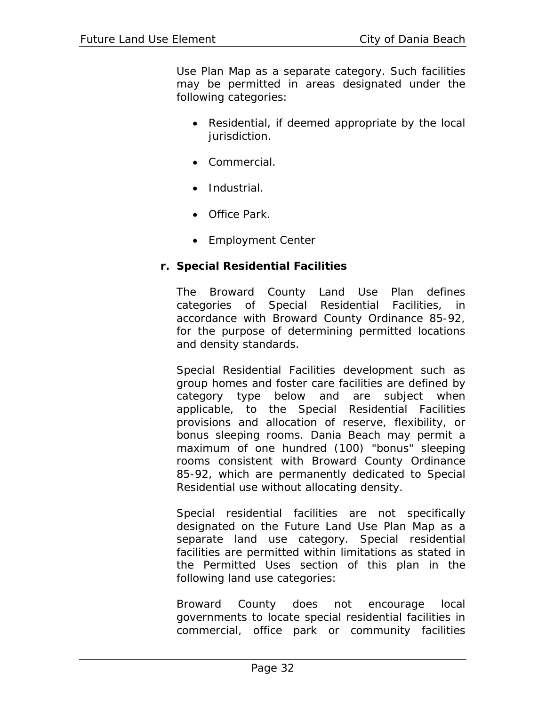Use Plan Map as a separate category. Such facilities may be permitted in areas designated under the following categories:

- Residential, if deemed appropriate by the local jurisdiction.
- Commercial.
- Industrial.
- Office Park.
- Employment Center

## **r. Special Residential Facilities**

The Broward County Land Use Plan defines categories of Special Residential Facilities, in accordance with Broward County Ordinance 85-92, for the purpose of determining permitted locations and density standards.

Special Residential Facilities development such as group homes and foster care facilities are defined by category type below and are subject when applicable, to the Special Residential Facilities provisions and allocation of reserve, flexibility, or bonus sleeping rooms. Dania Beach may permit a maximum of one hundred (100) "bonus" sleeping rooms consistent with Broward County Ordinance 85-92, which are permanently dedicated to Special Residential use without allocating density.

Special residential facilities are not specifically designated on the Future Land Use Plan Map as a separate land use category. Special residential facilities are permitted within limitations as stated in the Permitted Uses section of this plan in the following land use categories:

Broward County does not encourage local governments to locate special residential facilities in commercial, office park or community facilities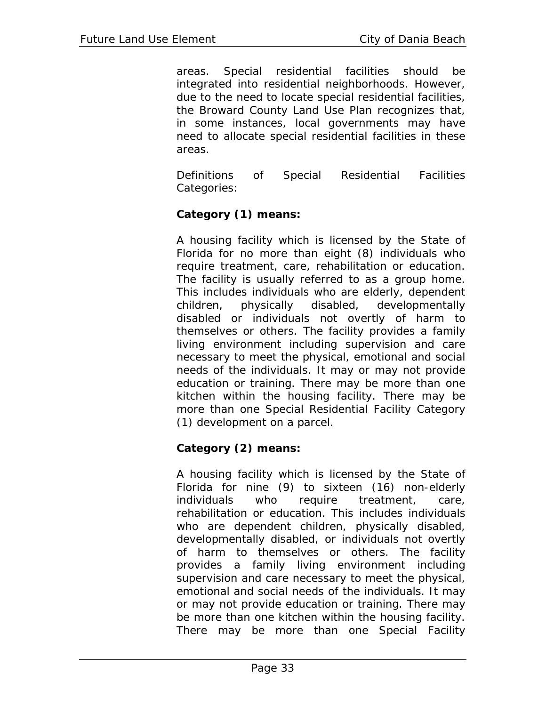areas. Special residential facilities should be integrated into residential neighborhoods. However, due to the need to locate special residential facilities, the Broward County Land Use Plan recognizes that, in some instances, local governments may have need to allocate special residential facilities in these areas.

Definitions of Special Residential Facilities Categories:

# **Category (1) means:**

A housing facility which is licensed by the State of Florida for no more than eight (8) individuals who require treatment, care, rehabilitation or education. The facility is usually referred to as a group home. This includes individuals who are elderly, dependent children, physically disabled, developmentally disabled or individuals not overtly of harm to themselves or others. The facility provides a family living environment including supervision and care necessary to meet the physical, emotional and social needs of the individuals. It may or may not provide education or training. There may be more than one kitchen within the housing facility. There may be more than one Special Residential Facility Category (1) development on a parcel.

# **Category (2) means:**

A housing facility which is licensed by the State of Florida for nine (9) to sixteen (16) non-elderly individuals who require treatment, care, rehabilitation or education. This includes individuals who are dependent children, physically disabled, developmentally disabled, or individuals not overtly of harm to themselves or others. The facility provides a family living environment including supervision and care necessary to meet the physical, emotional and social needs of the individuals. It may or may not provide education or training. There may be more than one kitchen within the housing facility. There may be more than one Special Facility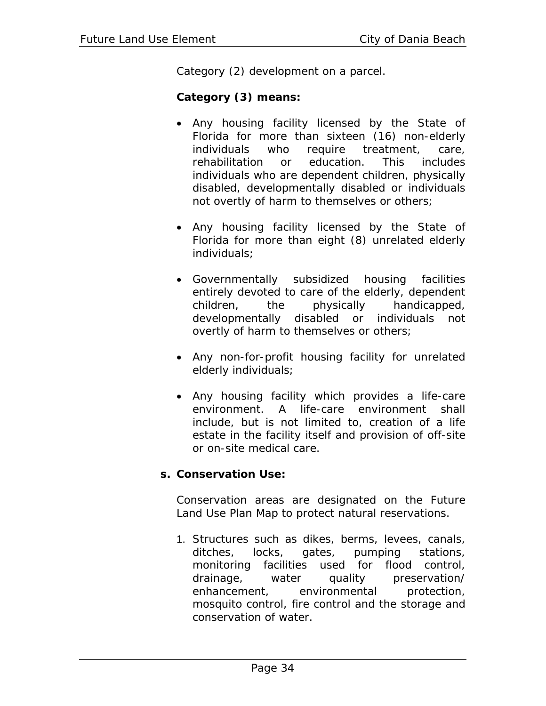Category (2) development on a parcel.

### **Category (3) means:**

- Any housing facility licensed by the State of Florida for more than sixteen (16) non-elderly individuals who require treatment, care, rehabilitation or education. This includes individuals who are dependent children, physically disabled, developmentally disabled or individuals not overtly of harm to themselves or others;
- Any housing facility licensed by the State of Florida for more than eight (8) unrelated elderly individuals;
- Governmentally subsidized housing facilities entirely devoted to care of the elderly, dependent children, the physically handicapped, developmentally disabled or individuals not overtly of harm to themselves or others;
- Any non-for-profit housing facility for unrelated elderly individuals;
- Any housing facility which provides a life-care environment. A life-care environment shall include, but is not limited to, creation of a life estate in the facility itself and provision of off-site or on-site medical care.

### **s. Conservation Use:**

Conservation areas are designated on the Future Land Use Plan Map to protect natural reservations.

1. Structures such as dikes, berms, levees, canals, ditches, locks, gates, pumping stations, monitoring facilities used for flood control, drainage, water quality preservation/ enhancement, environmental protection, mosquito control, fire control and the storage and conservation of water.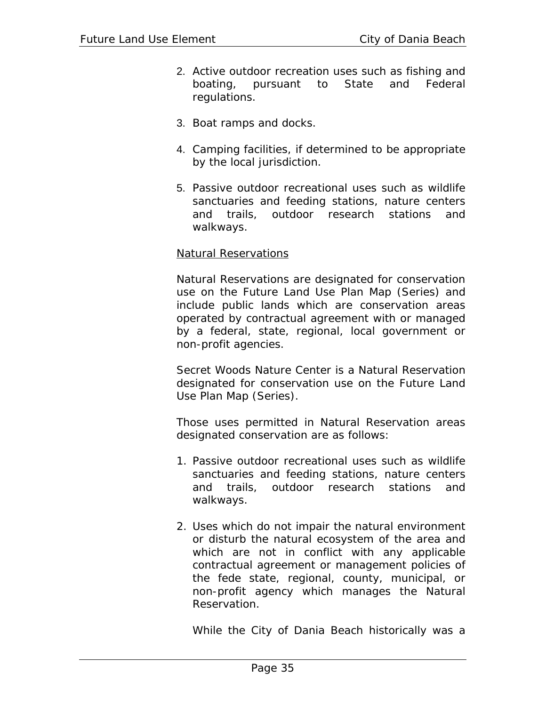- 2. Active outdoor recreation uses such as fishing and boating, pursuant to State and Federal regulations.
- 3. Boat ramps and docks.
- 4. Camping facilities, if determined to be appropriate by the local jurisdiction.
- 5. Passive outdoor recreational uses such as wildlife sanctuaries and feeding stations, nature centers and trails, outdoor research stations and walkways.

#### Natural Reservations

Natural Reservations are designated for conservation use on the Future Land Use Plan Map (Series) and include public lands which are conservation areas operated by contractual agreement with or managed by a federal, state, regional, local government or non-profit agencies.

Secret Woods Nature Center is a Natural Reservation designated for conservation use on the Future Land Use Plan Map (Series).

Those uses permitted in Natural Reservation areas designated conservation are as follows:

- 1. Passive outdoor recreational uses such as wildlife sanctuaries and feeding stations, nature centers and trails, outdoor research stations and walkways.
- 2. Uses which do not impair the natural environment or disturb the natural ecosystem of the area and which are not in conflict with any applicable contractual agreement or management policies of the fede state, regional, county, municipal, or non-profit agency which manages the Natural Reservation.

While the City of Dania Beach historically was a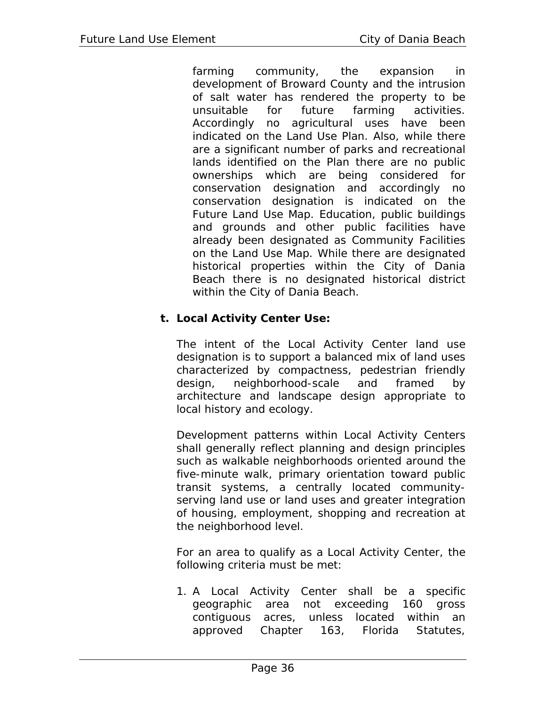farming community, the expansion in development of Broward County and the intrusion of salt water has rendered the property to be unsuitable for future farming activities. Accordingly no agricultural uses have been indicated on the Land Use Plan. Also, while there are a significant number of parks and recreational lands identified on the Plan there are no public ownerships which are being considered for conservation designation and accordingly no conservation designation is indicated on the Future Land Use Map. Education, public buildings and grounds and other public facilities have already been designated as Community Facilities on the Land Use Map. While there are designated historical properties within the City of Dania Beach there is no designated historical district within the City of Dania Beach.

## **t. Local Activity Center Use:**

The intent of the Local Activity Center land use designation is to support a balanced mix of land uses characterized by compactness, pedestrian friendly design, neighborhood-scale and framed by architecture and landscape design appropriate to local history and ecology.

Development patterns within Local Activity Centers shall generally reflect planning and design principles such as walkable neighborhoods oriented around the five-minute walk, primary orientation toward public transit systems, a centrally located communityserving land use or land uses and greater integration of housing, employment, shopping and recreation at the neighborhood level.

For an area to qualify as a Local Activity Center, the following criteria must be met:

1. A Local Activity Center shall be a specific geographic area not exceeding 160 gross contiguous acres, unless located within an approved Chapter 163, Florida Statutes,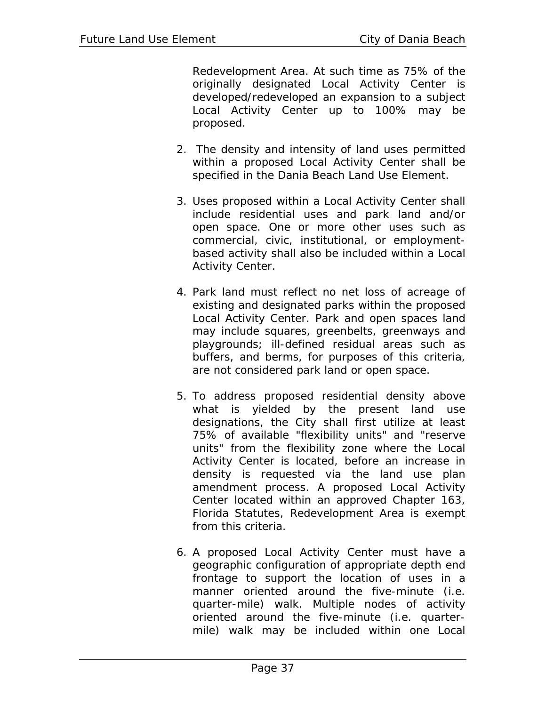Redevelopment Area. At such time as 75% of the originally designated Local Activity Center is developed/redeveloped an expansion to a subject Local Activity Center up to 100% may be proposed.

- 2. The density and intensity of land uses permitted within a proposed Local Activity Center shall be specified in the Dania Beach Land Use Element.
- 3. Uses proposed within a Local Activity Center shall include residential uses and park land and/or open space. One or more other uses such as commercial, civic, institutional, or employmentbased activity shall also be included within a Local Activity Center.
- 4. Park land must reflect no net loss of acreage of existing and designated parks within the proposed Local Activity Center. Park and open spaces land may include squares, greenbelts, greenways and playgrounds; ill-defined residual areas such as buffers, and berms, for purposes of this criteria, are not considered park land or open space.
- 5. To address proposed residential density above what is yielded by the present land use designations, the City shall first utilize at least 75% of available "flexibility units" and "reserve units" from the flexibility zone where the Local Activity Center is located, before an increase in density is requested via the land use plan amendment process. A proposed Local Activity Center located within an approved Chapter 163, Florida Statutes, Redevelopment Area is exempt from this criteria.
- 6. A proposed Local Activity Center must have a geographic configuration of appropriate depth end frontage to support the location of uses in a manner oriented around the five-minute (i.e. quarter-mile) walk. Multiple nodes of activity oriented around the five-minute (i.e. quartermile) walk may be included within one Local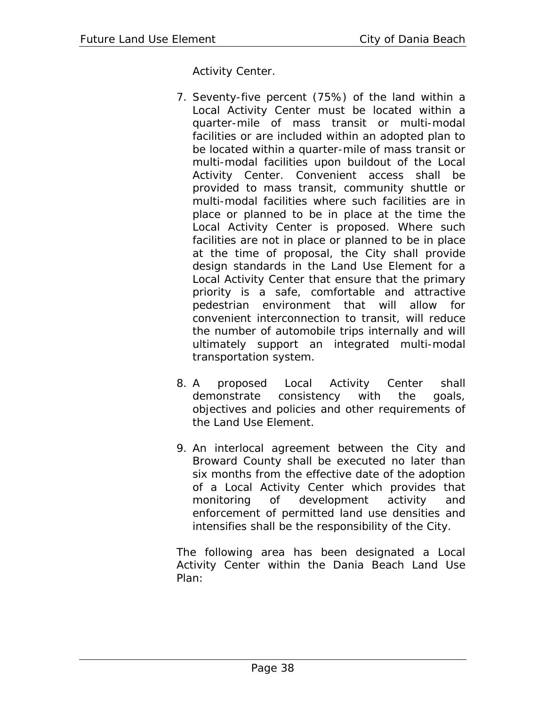Activity Center.

- 7. Seventy-five percent (75%) of the land within a Local Activity Center must be located within a quarter-mile of mass transit or multi-modal facilities or are included within an adopted plan to be located within a quarter-mile of mass transit or multi-modal facilities upon buildout of the Local Activity Center. Convenient access shall be provided to mass transit, community shuttle or multi-modal facilities where such facilities are in place or planned to be in place at the time the Local Activity Center is proposed. Where such facilities are not in place or planned to be in place at the time of proposal, the City shall provide design standards in the Land Use Element for a Local Activity Center that ensure that the primary priority is a safe, comfortable and attractive pedestrian environment that will allow for convenient interconnection to transit, will reduce the number of automobile trips internally and will ultimately support an integrated multi-modal transportation system.
- 8. A proposed Local Activity Center shall demonstrate consistency with the goals, objectives and policies and other requirements of the Land Use Element.
- 9. An interlocal agreement between the City and Broward County shall be executed no later than six months from the effective date of the adoption of a Local Activity Center which provides that monitoring of development activity and enforcement of permitted land use densities and intensifies shall be the responsibility of the City.

The following area has been designated a Local Activity Center within the Dania Beach Land Use Plan: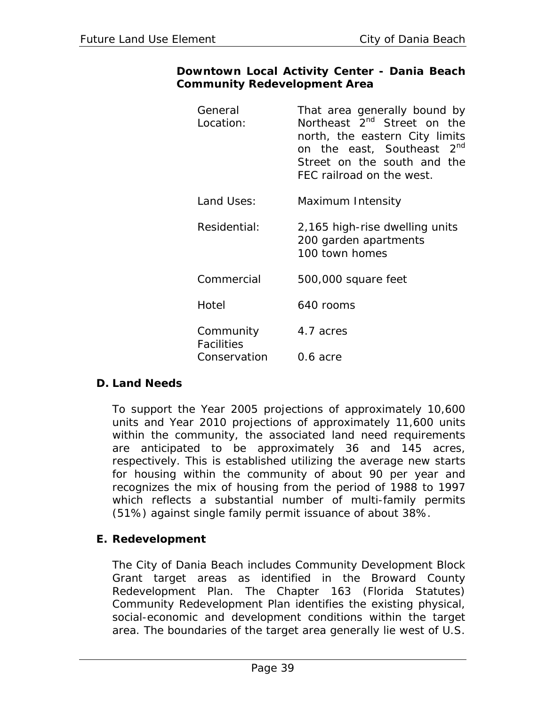## **Downtown Local Activity Center - Dania Beach Community Redevelopment Area**

| General<br>Location:                           | That area generally bound by<br>Northeast 2 <sup>nd</sup> Street on the<br>north, the eastern City limits<br>$2^{nd}$<br>on the east, Southeast<br>Street on the south and the<br>FEC railroad on the west. |  |
|------------------------------------------------|-------------------------------------------------------------------------------------------------------------------------------------------------------------------------------------------------------------|--|
| Land Uses:                                     | Maximum Intensity                                                                                                                                                                                           |  |
| Residential:                                   | 2,165 high-rise dwelling units<br>200 garden apartments<br>100 town homes                                                                                                                                   |  |
| Commercial                                     | 500,000 square feet                                                                                                                                                                                         |  |
| Hotel                                          | 640 rooms                                                                                                                                                                                                   |  |
| Community<br><b>Facilities</b><br>Conservation | 4.7 acres                                                                                                                                                                                                   |  |
|                                                | $0.6$ acre                                                                                                                                                                                                  |  |

### **D. Land Needs**

To support the Year 2005 projections of approximately 10,600 units and Year 2010 projections of approximately 11,600 units within the community, the associated land need requirements are anticipated to be approximately 36 and 145 acres, respectively. This is established utilizing the average new starts for housing within the community of about 90 per year and recognizes the mix of housing from the period of 1988 to 1997 which reflects a substantial number of multi-family permits (51%) against single family permit issuance of about 38%.

# **E. Redevelopment**

The City of Dania Beach includes Community Development Block Grant target areas as identified in the Broward County Redevelopment Plan. The Chapter 163 (Florida Statutes) Community Redevelopment Plan identifies the existing physical, social-economic and development conditions within the target area. The boundaries of the target area generally lie west of U.S.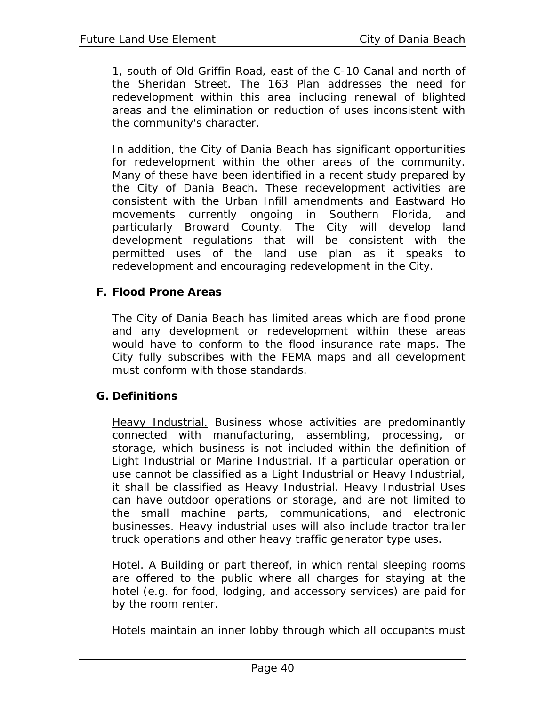1, south of Old Griffin Road, east of the C-10 Canal and north of the Sheridan Street. The 163 Plan addresses the need for redevelopment within this area including renewal of blighted areas and the elimination or reduction of uses inconsistent with the community's character.

In addition, the City of Dania Beach has significant opportunities for redevelopment within the other areas of the community. Many of these have been identified in a recent study prepared by the City of Dania Beach. These redevelopment activities are consistent with the Urban Infill amendments and Eastward Ho movements currently ongoing in Southern Florida, and particularly Broward County. The City will develop land development regulations that will be consistent with the permitted uses of the land use plan as it speaks to redevelopment and encouraging redevelopment in the City.

## **F. Flood Prone Areas**

The City of Dania Beach has limited areas which are flood prone and any development or redevelopment within these areas would have to conform to the flood insurance rate maps. The City fully subscribes with the FEMA maps and all development must conform with those standards.

### **G. Definitions**

Heavy Industrial. Business whose activities are predominantly connected with manufacturing, assembling, processing, or storage, which business is not included within the definition of Light Industrial or Marine Industrial. If a particular operation or use cannot be classified as a Light Industrial or Heavy Industrial, it shall be classified as Heavy Industrial. Heavy Industrial Uses can have outdoor operations or storage, and are not limited to the small machine parts, communications, and electronic businesses. Heavy industrial uses will also include tractor trailer truck operations and other heavy traffic generator type uses.

Hotel. A Building or part thereof, in which rental sleeping rooms are offered to the public where all charges for staying at the hotel (e.g. for food, lodging, and accessory services) are paid for by the room renter.

Hotels maintain an inner lobby through which all occupants must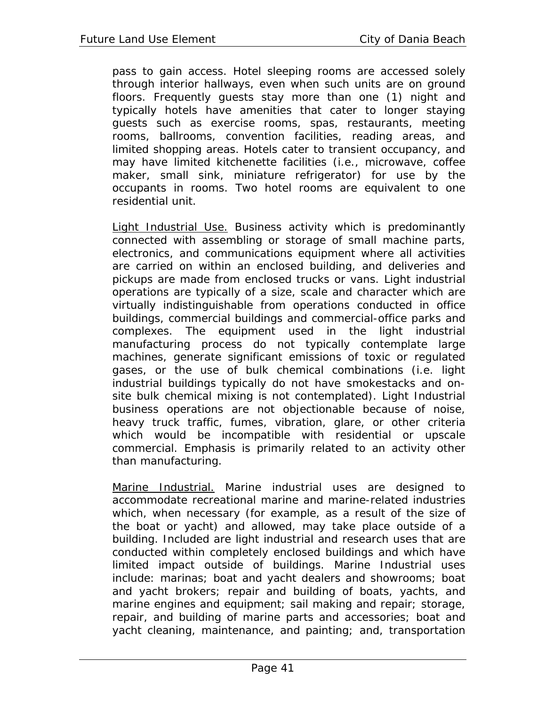pass to gain access. Hotel sleeping rooms are accessed solely through interior hallways, even when such units are on ground floors. Frequently guests stay more than one (1) night and typically hotels have amenities that cater to longer staying guests such as exercise rooms, spas, restaurants, meeting rooms, ballrooms, convention facilities, reading areas, and limited shopping areas. Hotels cater to transient occupancy, and may have limited kitchenette facilities (i.e., microwave, coffee maker, small sink, miniature refrigerator) for use by the occupants in rooms. Two hotel rooms are equivalent to one residential unit.

Light Industrial Use. Business activity which is predominantly connected with assembling or storage of small machine parts, electronics, and communications equipment where all activities are carried on within an enclosed building, and deliveries and pickups are made from enclosed trucks or vans. Light industrial operations are typically of a size, scale and character which are virtually indistinguishable from operations conducted in office buildings, commercial buildings and commercial-office parks and complexes. The equipment used in the light industrial manufacturing process do not typically contemplate large machines, generate significant emissions of toxic or regulated gases, or the use of bulk chemical combinations (i.e. light industrial buildings typically do not have smokestacks and onsite bulk chemical mixing is not contemplated). Light Industrial business operations are not objectionable because of noise, heavy truck traffic, fumes, vibration, glare, or other criteria which would be incompatible with residential or upscale commercial. Emphasis is primarily related to an activity other than manufacturing.

Marine Industrial. Marine industrial uses are designed to accommodate recreational marine and marine-related industries which, when necessary (for example, as a result of the size of the boat or yacht) and allowed, may take place outside of a building. Included are light industrial and research uses that are conducted within completely enclosed buildings and which have limited impact outside of buildings. Marine Industrial uses include: marinas; boat and yacht dealers and showrooms; boat and yacht brokers; repair and building of boats, yachts, and marine engines and equipment; sail making and repair; storage, repair, and building of marine parts and accessories; boat and yacht cleaning, maintenance, and painting; and, transportation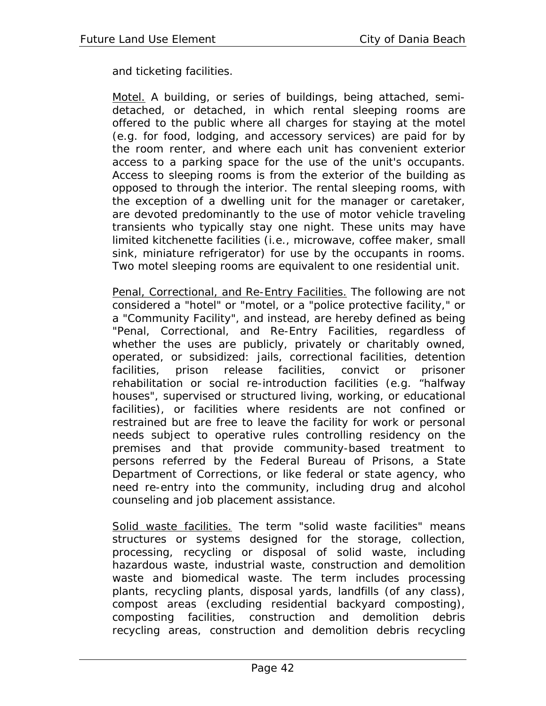and ticketing facilities.

Motel. A building, or series of buildings, being attached, semidetached, or detached, in which rental sleeping rooms are offered to the public where all charges for staying at the motel (e.g. for food, lodging, and accessory services) are paid for by the room renter, and where each unit has convenient exterior access to a parking space for the use of the unit's occupants. Access to sleeping rooms is from the exterior of the building as opposed to through the interior. The rental sleeping rooms, with the exception of a dwelling unit for the manager or caretaker, are devoted predominantly to the use of motor vehicle traveling transients who typically stay one night. These units may have limited kitchenette facilities (i.e., microwave, coffee maker, small sink, miniature refrigerator) for use by the occupants in rooms. Two motel sleeping rooms are equivalent to one residential unit.

Penal, Correctional, and Re-Entry Facilities. The following are not considered a "hotel" or "motel, or a "police protective facility," or a "Community Facility", and instead, are hereby defined as being "Penal, Correctional, and Re-Entry Facilities, regardless of whether the uses are publicly, privately or charitably owned, operated, or subsidized: jails, correctional facilities, detention facilities, prison release facilities, convict or prisoner rehabilitation or social re-introduction facilities (e.g. "halfway houses", supervised or structured living, working, or educational facilities), or facilities where residents are not confined or restrained but are free to leave the facility for work or personal needs subject to operative rules controlling residency on the premises and that provide community-based treatment to persons referred by the Federal Bureau of Prisons, a State Department of Corrections, or like federal or state agency, who need re-entry into the community, including drug and alcohol counseling and job placement assistance.

Solid waste facilities. The term "solid waste facilities" means structures or systems designed for the storage, collection, processing, recycling or disposal of solid waste, including hazardous waste, industrial waste, construction and demolition waste and biomedical waste. The term includes processing plants, recycling plants, disposal yards, landfills (of any class), compost areas (excluding residential backyard composting), composting facilities, construction and demolition debris recycling areas, construction and demolition debris recycling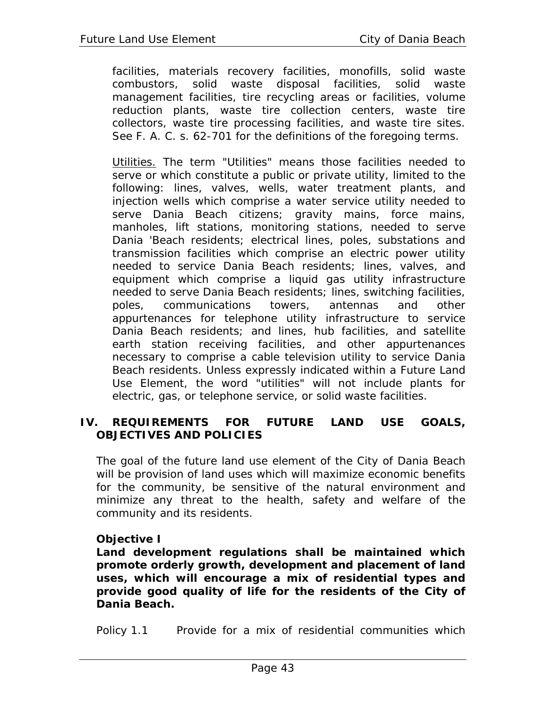facilities, materials recovery facilities, monofills, solid waste combustors, solid waste disposal facilities, solid waste management facilities, tire recycling areas or facilities, volume reduction plants, waste tire collection centers, waste tire collectors, waste tire processing facilities, and waste tire sites. See F. A. C. s. 62-701 for the definitions of the foregoing terms.

Utilities. The term "Utilities" means those facilities needed to serve or which constitute a public or private utility, limited to the following: lines, valves, wells, water treatment plants, and injection wells which comprise a water service utility needed to serve Dania Beach citizens; gravity mains, force mains, manholes, lift stations, monitoring stations, needed to serve Dania 'Beach residents; electrical lines, poles, substations and transmission facilities which comprise an electric power utility needed to service Dania Beach residents; lines, valves, and equipment which comprise a liquid gas utility infrastructure needed to serve Dania Beach residents; lines, switching facilities, poles, communications towers, antennas and other appurtenances for telephone utility infrastructure to service Dania Beach residents; and lines, hub facilities, and satellite earth station receiving facilities, and other appurtenances necessary to comprise a cable television utility to service Dania Beach residents. Unless expressly indicated within a Future Land Use Element, the word "utilities" will not include plants for electric, gas, or telephone service, or solid waste facilities.

## **IV. REQUIREMENTS FOR FUTURE LAND USE GOALS, OBJECTIVES AND POLICIES**

The goal of the future land use element of the City of Dania Beach will be provision of land uses which will maximize economic benefits for the community, be sensitive of the natural environment and minimize any threat to the health, safety and welfare of the community and its residents.

### **Objective I**

**Land development regulations shall be maintained which promote orderly growth, development and placement of land uses, which will encourage a mix of residential types and provide good quality of life for the residents of the City of Dania Beach.** 

Policy 1.1 Provide for a mix of residential communities which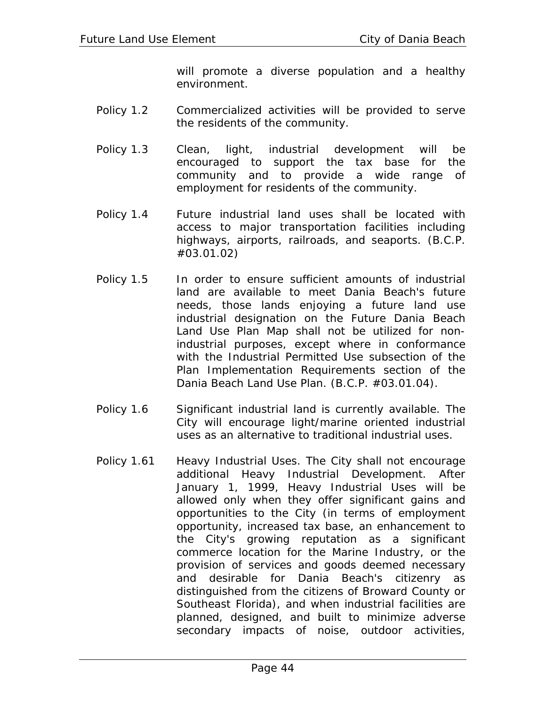will promote a diverse population and a healthy environment.

- Policy 1.2 Commercialized activities will be provided to serve the residents of the community.
- Policy 1.3 Clean, light, industrial development will be encouraged to support the tax base for the community and to provide a wide range of employment for residents of the community.
- Policy 1.4 Future industrial land uses shall be located with access to major transportation facilities including highways, airports, railroads, and seaports. (B.C.P. #03.01.02)
- Policy 1.5 In order to ensure sufficient amounts of industrial land are available to meet Dania Beach's future needs, those lands enjoying a future land use industrial designation on the Future Dania Beach Land Use Plan Map shall not be utilized for nonindustrial purposes, except where in conformance with the Industrial Permitted Use subsection of the Plan Implementation Requirements section of the Dania Beach Land Use Plan. (B.C.P. #03.01.04).
- Policy 1.6 Significant industrial land is currently available. The City will encourage light/marine oriented industrial uses as an alternative to traditional industrial uses.
- Policy 1.61 Heavy Industrial Uses. The City shall not encourage additional Heavy Industrial Development. After January 1, 1999, Heavy Industrial Uses will be allowed only when they offer significant gains and opportunities to the City (in terms of employment opportunity, increased tax base, an enhancement to the City's growing reputation as a significant commerce location for the Marine Industry, or the provision of services and goods deemed necessary and desirable for Dania Beach's citizenry as distinguished from the citizens of Broward County or Southeast Florida), and when industrial facilities are planned, designed, and built to minimize adverse secondary impacts of noise, outdoor activities,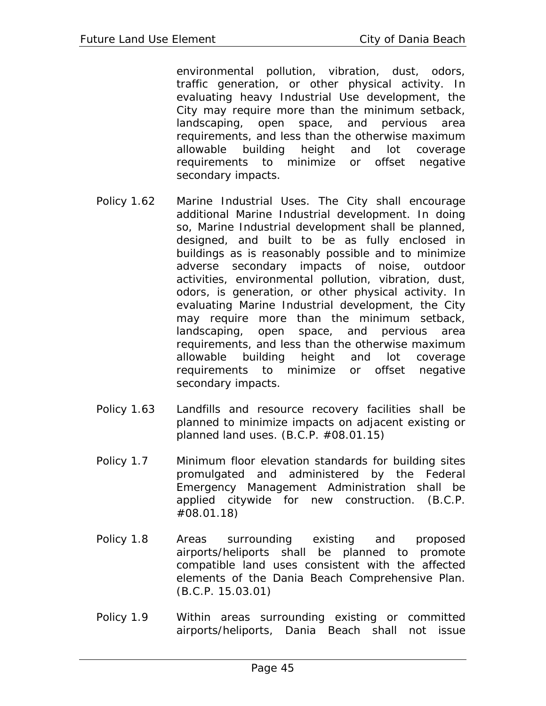environmental pollution, vibration, dust, odors, traffic generation, or other physical activity. In evaluating heavy Industrial Use development, the City may require more than the minimum setback, landscaping, open space, and pervious area requirements, and less than the otherwise maximum allowable building height and lot coverage requirements to minimize or offset negative secondary impacts.

- Policy 1.62 Marine Industrial Uses. The City shall encourage additional Marine Industrial development. In doing so, Marine Industrial development shall be planned, designed, and built to be as fully enclosed in buildings as is reasonably possible and to minimize adverse secondary impacts of noise, outdoor activities, environmental pollution, vibration, dust, odors, is generation, or other physical activity. In evaluating Marine Industrial development, the City may require more than the minimum setback, landscaping, open space, and pervious area requirements, and less than the otherwise maximum allowable building height and lot coverage requirements to minimize or offset negative secondary impacts.
- Policy 1.63 Landfills and resource recovery facilities shall be planned to minimize impacts on adjacent existing or planned land uses. (B.C.P. #08.01.15)
- Policy 1.7 Minimum floor elevation standards for building sites promulgated and administered by the Federal Emergency Management Administration shall be applied citywide for new construction. (B.C.P. #08.01.18)
- Policy 1.8 Areas surrounding existing and proposed airports/heliports shall be planned to promote compatible land uses consistent with the affected elements of the Dania Beach Comprehensive Plan. (B.C.P. 15.03.01)
- Policy 1.9 Within areas surrounding existing or committed airports/heliports, Dania Beach shall not issue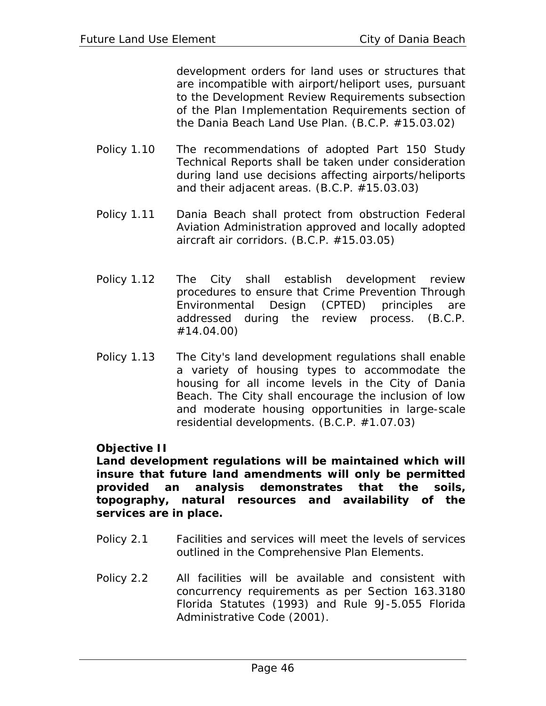development orders for land uses or structures that are incompatible with airport/heliport uses, pursuant to the Development Review Requirements subsection of the Plan Implementation Requirements section of the Dania Beach Land Use Plan. (B.C.P. #15.03.02)

- Policy 1.10 The recommendations of adopted Part 150 Study Technical Reports shall be taken under consideration during land use decisions affecting airports/heliports and their adjacent areas. (B.C.P. #15.03.03)
- Policy 1.11 Dania Beach shall protect from obstruction Federal Aviation Administration approved and locally adopted aircraft air corridors. (B.C.P. #15.03.05)
- Policy 1.12 The City shall establish development review procedures to ensure that Crime Prevention Through Environmental Design (CPTED) principles are addressed during the review process. (B.C.P. #14.04.00)
- Policy 1.13 The City's land development regulations shall enable a variety of housing types to accommodate the housing for all income levels in the City of Dania Beach. The City shall encourage the inclusion of low and moderate housing opportunities in large-scale residential developments. (B.C.P. #1.07.03)

### **Objective II**

**Land development regulations will be maintained which will insure that future land amendments will only be permitted provided an analysis demonstrates that the soils, topography, natural resources and availability of the services are in place.** 

- Policy 2.1 Facilities and services will meet the levels of services outlined in the Comprehensive Plan Elements.
- Policy 2.2 All facilities will be available and consistent with concurrency requirements as per Section 163.3180 Florida Statutes (1993) and Rule 9J-5.055 Florida Administrative Code (2001).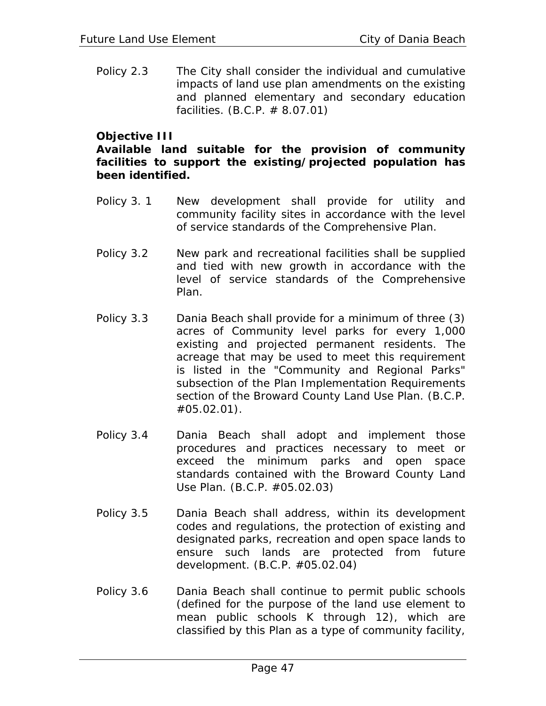Policy 2.3 The City shall consider the individual and cumulative impacts of land use plan amendments on the existing and planned elementary and secondary education facilities. (B.C.P. # 8.07.01)

#### **Objective III**

**Available land suitable for the provision of community facilities to support the existing/projected population has been identified.** 

- Policy 3.1 New development shall provide for utility and community facility sites in accordance with the level of service standards of the Comprehensive Plan.
- Policy 3.2 New park and recreational facilities shall be supplied and tied with new growth in accordance with the level of service standards of the Comprehensive Plan.
- Policy 3.3 Dania Beach shall provide for a minimum of three (3) acres of Community level parks for every 1,000 existing and projected permanent residents. The acreage that may be used to meet this requirement is listed in the "Community and Regional Parks" subsection of the Plan Implementation Requirements section of the Broward County Land Use Plan. (B.C.P. #05.02.01).
- Policy 3.4 Dania Beach shall adopt and implement those procedures and practices necessary to meet or exceed the minimum parks and open space standards contained with the Broward County Land Use Plan. (B.C.P. #05.02.03)
- Policy 3.5 Dania Beach shall address, within its development codes and regulations, the protection of existing and designated parks, recreation and open space lands to ensure such lands are protected from future development. (B.C.P. #05.02.04)
- Policy 3.6 Dania Beach shall continue to permit public schools (defined for the purpose of the land use element to mean public schools K through 12), which are classified by this Plan as a type of community facility,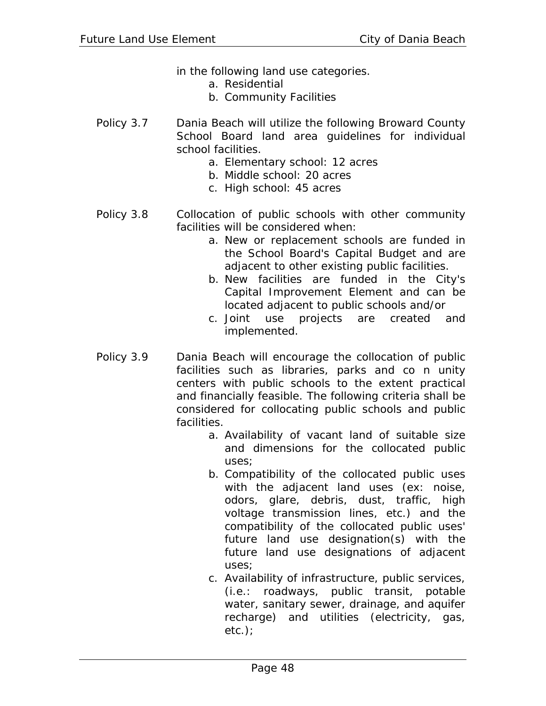- in the following land use categories.
	- a. Residential
	- b. Community Facilities
- Policy 3.7 Dania Beach will utilize the following Broward County School Board land area guidelines for individual school facilities.
	- a. Elementary school: 12 acres
	- b. Middle school: 20 acres
	- c. High school: 45 acres
- Policy 3.8 Collocation of public schools with other community facilities will be considered when:
	- a. New or replacement schools are funded in the School Board's Capital Budget and are adjacent to other existing public facilities.
	- b. New facilities are funded in the City's Capital Improvement Element and can be located adjacent to public schools and/or
	- c. Joint use projects are created and implemented.
- Policy 3.9 Dania Beach will encourage the collocation of public facilities such as libraries, parks and co n unity centers with public schools to the extent practical and financially feasible. The following criteria shall be considered for collocating public schools and public facilities.
	- a. Availability of vacant land of suitable size and dimensions for the collocated public uses;
	- b. Compatibility of the collocated public uses with the adjacent land uses (ex: noise, odors, glare, debris, dust, traffic, high voltage transmission lines, etc.) and the compatibility of the collocated public uses' future land use designation(s) with the future land use designations of adjacent uses;
	- c. Availability of infrastructure, public services, (i.e.: roadways, public transit, potable water, sanitary sewer, drainage, and aquifer recharge) and utilities (electricity, gas, etc.);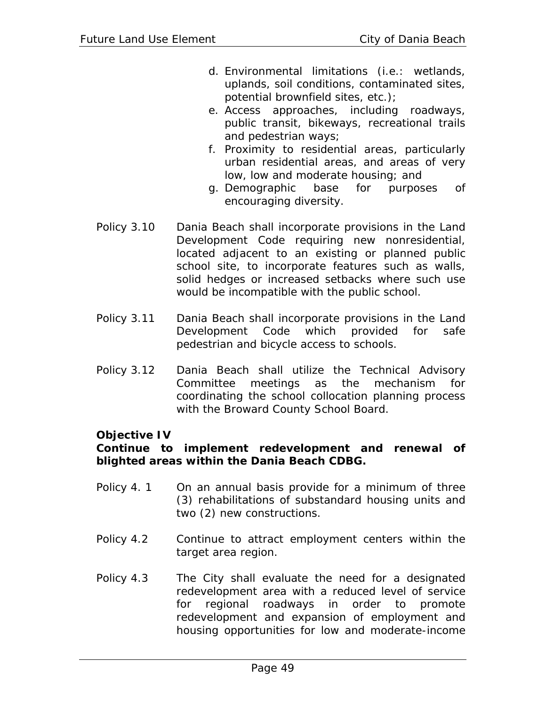- d. Environmental limitations (i.e.: wetlands, uplands, soil conditions, contaminated sites, potential brownfield sites, etc.);
- e. Access approaches, including roadways, public transit, bikeways, recreational trails and pedestrian ways;
- f. Proximity to residential areas, particularly urban residential areas, and areas of very low, low and moderate housing; and
- g. Demographic base for purposes of encouraging diversity.
- Policy 3.10 Dania Beach shall incorporate provisions in the Land Development Code requiring new nonresidential, located adjacent to an existing or planned public school site, to incorporate features such as walls, solid hedges or increased setbacks where such use would be incompatible with the public school.
- Policy 3.11 Dania Beach shall incorporate provisions in the Land Development Code which provided for safe pedestrian and bicycle access to schools.
- Policy 3.12 Dania Beach shall utilize the Technical Advisory Committee meetings as the mechanism for coordinating the school collocation planning process with the Broward County School Board.

### **Objective IV**

### **Continue to implement redevelopment and renewal of blighted areas within the Dania Beach CDBG.**

- Policy 4. 1 On an annual basis provide for a minimum of three (3) rehabilitations of substandard housing units and two (2) new constructions.
- Policy 4.2 Continue to attract employment centers within the target area region.
- Policy 4.3 The City shall evaluate the need for a designated redevelopment area with a reduced level of service for regional roadways in order to promote redevelopment and expansion of employment and housing opportunities for low and moderate-income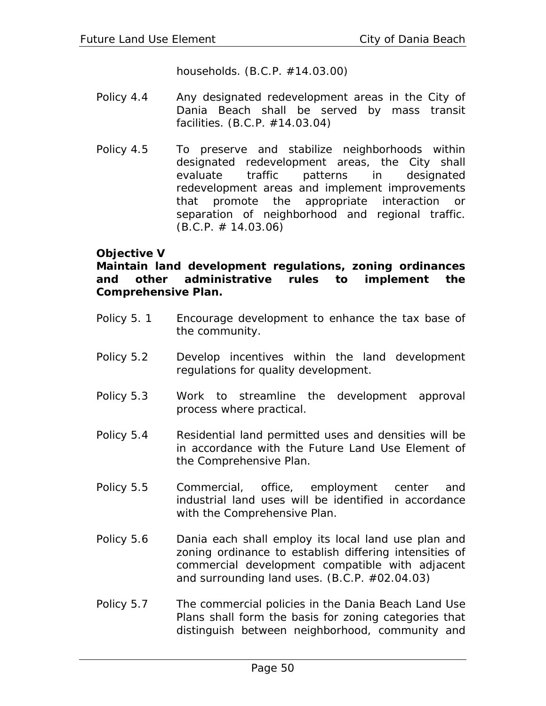households. (B.C.P. #14.03.00)

- Policy 4.4 Any designated redevelopment areas in the City of Dania Beach shall be served by mass transit facilities. (B.C.P. #14.03.04)
- Policy 4.5 To preserve and stabilize neighborhoods within designated redevelopment areas, the City shall evaluate traffic patterns in designated redevelopment areas and implement improvements that promote the appropriate interaction or separation of neighborhood and regional traffic.  $(B.C.P. # 14.03.06)$

### **Objective V**

**Maintain land development regulations, zoning ordinances and other administrative rules to implement the Comprehensive Plan.** 

- Policy 5. 1 Encourage development to enhance the tax base of the community.
- Policy 5.2 Develop incentives within the land development regulations for quality development.
- Policy 5.3 Work to streamline the development approval process where practical.
- Policy 5.4 Residential land permitted uses and densities will be in accordance with the Future Land Use Element of the Comprehensive Plan.
- Policy 5.5 Commercial, office, employment center and industrial land uses will be identified in accordance with the Comprehensive Plan.
- Policy 5.6 Dania each shall employ its local land use plan and zoning ordinance to establish differing intensities of commercial development compatible with adjacent and surrounding land uses. (B.C.P. #02.04.03)
- Policy 5.7 The commercial policies in the Dania Beach Land Use Plans shall form the basis for zoning categories that distinguish between neighborhood, community and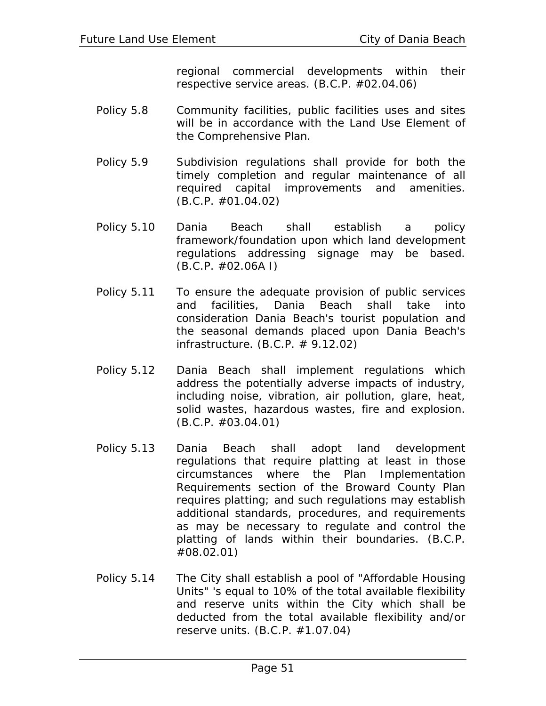regional commercial developments within their respective service areas. (B.C.P. #02.04.06)

- Policy 5.8 Community facilities, public facilities uses and sites will be in accordance with the Land Use Element of the Comprehensive Plan.
- Policy 5.9 Subdivision regulations shall provide for both the timely completion and regular maintenance of all required capital improvements and amenities. (B.C.P. #01.04.02)
- Policy 5.10 Dania Beach shall establish a policy framework/foundation upon which land development regulations addressing signage may be based. (B.C.P. #02.06A I)
- Policy 5.11 To ensure the adequate provision of public services and facilities, Dania Beach shall take into consideration Dania Beach's tourist population and the seasonal demands placed upon Dania Beach's infrastructure.  $(B.C.P. # 9.12.02)$
- Policy 5.12 Dania Beach shall implement regulations which address the potentially adverse impacts of industry, including noise, vibration, air pollution, glare, heat, solid wastes, hazardous wastes, fire and explosion. (B.C.P. #03.04.01)
- Policy 5.13 Dania Beach shall adopt land development regulations that require platting at least in those circumstances where the Plan Implementation Requirements section of the Broward County Plan requires platting; and such regulations may establish additional standards, procedures, and requirements as may be necessary to regulate and control the platting of lands within their boundaries. (B.C.P. #08.02.01)
- Policy 5.14 The City shall establish a pool of "Affordable Housing Units" 's equal to 10% of the total available flexibility and reserve units within the City which shall be deducted from the total available flexibility and/or reserve units. (B.C.P. #1.07.04)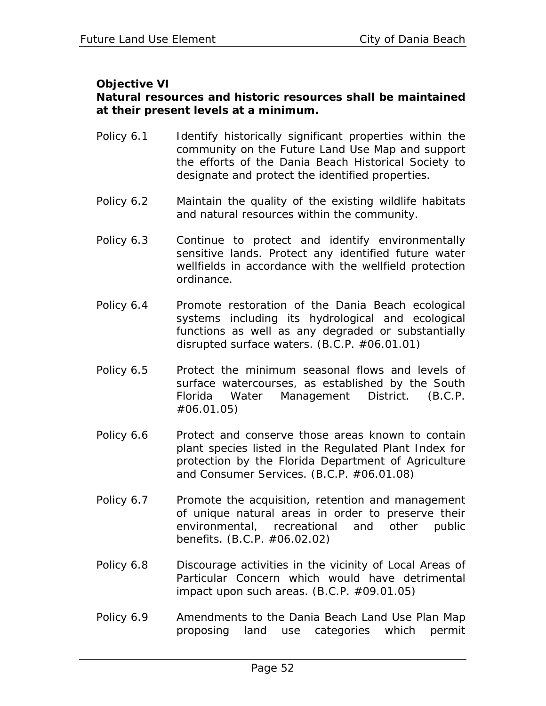# **Objective VI**

## **Natural resources and historic resources shall be maintained at their present levels at a minimum.**

- Policy 6.1 Identify historically significant properties within the community on the Future Land Use Map and support the efforts of the Dania Beach Historical Society to designate and protect the identified properties.
- Policy 6.2 Maintain the quality of the existing wildlife habitats and natural resources within the community.
- Policy 6.3 Continue to protect and identify environmentally sensitive lands. Protect any identified future water wellfields in accordance with the wellfield protection ordinance.
- Policy 6.4 Promote restoration of the Dania Beach ecological systems including its hydrological and ecological functions as well as any degraded or substantially disrupted surface waters. (B.C.P. #06.01.01)
- Policy 6.5 Protect the minimum seasonal flows and levels of surface watercourses, as established by the South Florida Water Management District. (B.C.P. #06.01.05)
- Policy 6.6 Protect and conserve those areas known to contain plant species listed in the Regulated Plant Index for protection by the Florida Department of Agriculture and Consumer Services. (B.C.P. #06.01.08)
- Policy 6.7 Promote the acquisition, retention and management of unique natural areas in order to preserve their environmental, recreational and other public benefits. (B.C.P. #06.02.02)
- Policy 6.8 Discourage activities in the vicinity of Local Areas of Particular Concern which would have detrimental impact upon such areas. (B.C.P. #09.01.05)
- Policy 6.9 Amendments to the Dania Beach Land Use Plan Map proposing land use categories which permit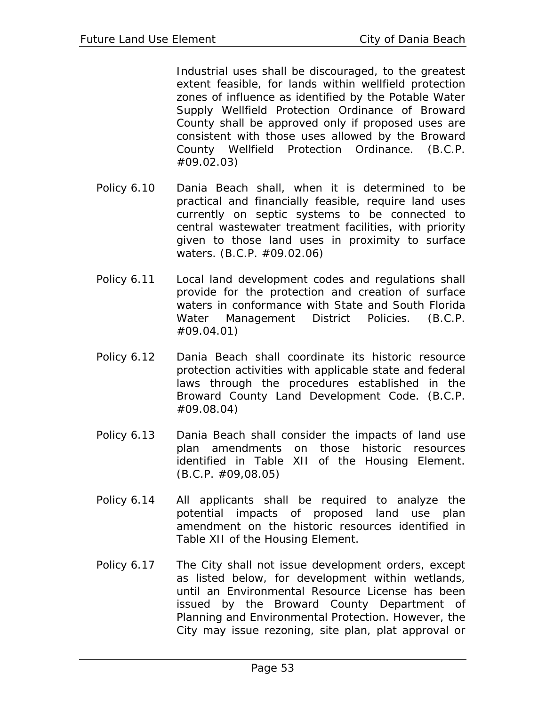Industrial uses shall be discouraged, to the greatest extent feasible, for lands within wellfield protection zones of influence as identified by the Potable Water Supply Wellfield Protection Ordinance of Broward County shall be approved only if proposed uses are consistent with those uses allowed by the Broward County Wellfield Protection Ordinance. (B.C.P. #09.02.03)

- Policy 6.10 Dania Beach shall, when it is determined to be practical and financially feasible, require land uses currently on septic systems to be connected to central wastewater treatment facilities, with priority given to those land uses in proximity to surface waters. (B.C.P. #09.02.06)
- Policy 6.11 Local land development codes and regulations shall provide for the protection and creation of surface waters in conformance with State and South Florida Water Management District Policies. (B.C.P. #09.04.01)
- Policy 6.12 Dania Beach shall coordinate its historic resource protection activities with applicable state and federal laws through the procedures established in the Broward County Land Development Code. (B.C.P. #09.08.04)
- Policy 6.13 Dania Beach shall consider the impacts of land use plan amendments on those historic resources identified in Table XII of the Housing Element. (B.C.P. #09,08.05)
- Policy 6.14 All applicants shall be required to analyze the potential impacts of proposed land use plan amendment on the historic resources identified in Table XII of the Housing Element.
- Policy 6.17 The City shall not issue development orders, except as listed below, for development within wetlands, until an Environmental Resource License has been issued by the Broward County Department of Planning and Environmental Protection. However, the City may issue rezoning, site plan, plat approval or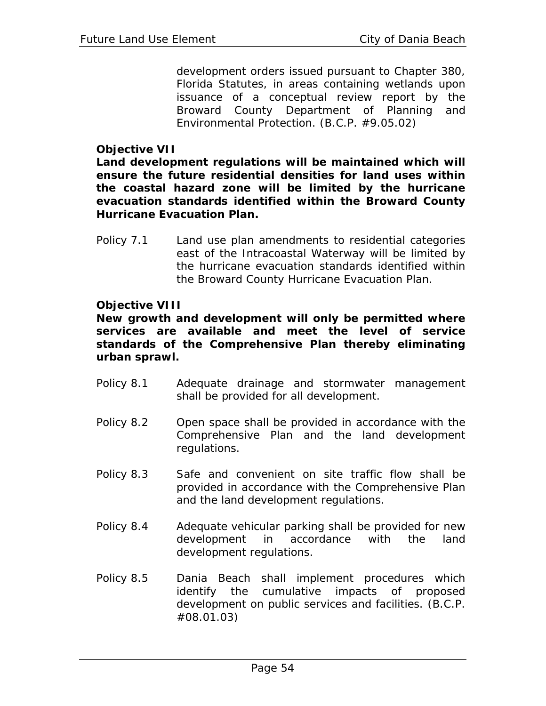development orders issued pursuant to Chapter 380, Florida Statutes, in areas containing wetlands upon issuance of a conceptual review report by the Broward County Department of Planning and Environmental Protection. (B.C.P. #9.05.02)

### **Objective VII**

**Land development regulations will be maintained which will ensure the future residential densities for land uses within the coastal hazard zone will be limited by the hurricane evacuation standards identified within the Broward County Hurricane Evacuation Plan.** 

Policy 7.1 Land use plan amendments to residential categories east of the Intracoastal Waterway will be limited by the hurricane evacuation standards identified within the Broward County Hurricane Evacuation Plan.

#### **Objective VIII**

**New growth and development will only be permitted where services are available and meet the level of service standards of the Comprehensive Plan thereby eliminating urban sprawl.** 

- Policy 8.1 Adequate drainage and stormwater management shall be provided for all development.
- Policy 8.2 Open space shall be provided in accordance with the Comprehensive Plan and the land development regulations.
- Policy 8.3 Safe and convenient on site traffic flow shall be provided in accordance with the Comprehensive Plan and the land development regulations.
- Policy 8.4 Adequate vehicular parking shall be provided for new development in accordance with the land development regulations.
- Policy 8.5 Dania Beach shall implement procedures which identify the cumulative impacts of proposed development on public services and facilities. (B.C.P. #08.01.03)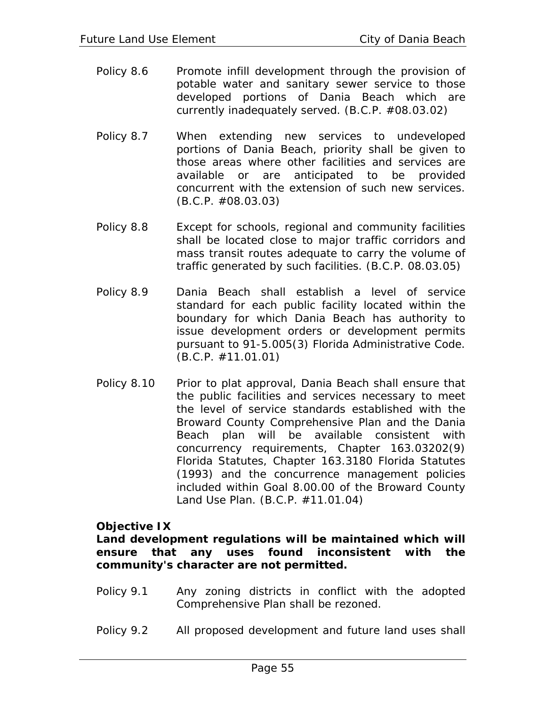- Policy 8.6 Promote infill development through the provision of potable water and sanitary sewer service to those developed portions of Dania Beach which are currently inadequately served. (B.C.P. #08.03.02)
- Policy 8.7 When extending new services to undeveloped portions of Dania Beach, priority shall be given to those areas where other facilities and services are available or are anticipated to be provided concurrent with the extension of such new services. (B.C.P. #08.03.03)
- Policy 8.8 Except for schools, regional and community facilities shall be located close to major traffic corridors and mass transit routes adequate to carry the volume of traffic generated by such facilities. (B.C.P. 08.03.05)
- Policy 8.9 Dania Beach shall establish a level of service standard for each public facility located within the boundary for which Dania Beach has authority to issue development orders or development permits pursuant to 91-5.005(3) Florida Administrative Code. (B.C.P. #11.01.01)
- Policy 8.10 Prior to plat approval, Dania Beach shall ensure that the public facilities and services necessary to meet the level of service standards established with the Broward County Comprehensive Plan and the Dania Beach plan will be available consistent with concurrency requirements, Chapter 163.03202(9) Florida Statutes, Chapter 163.3180 Florida Statutes (1993) and the concurrence management policies included within Goal 8.00.00 of the Broward County Land Use Plan. (B.C.P. #11.01.04)

### **Objective IX**

**Land development regulations will be maintained which will ensure that any uses found inconsistent with the community's character are not permitted.** 

- Policy 9.1 Any zoning districts in conflict with the adopted Comprehensive Plan shall be rezoned.
- Policy 9.2 All proposed development and future land uses shall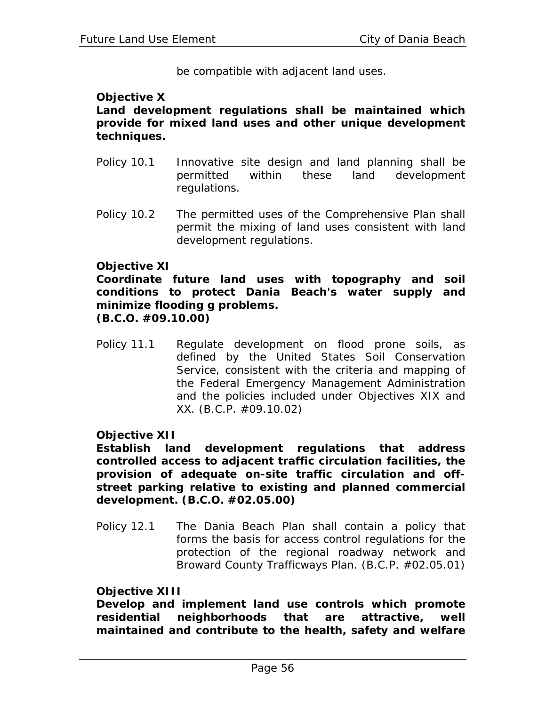be compatible with adjacent land uses.

## **Objective X**

**Land development regulations shall be maintained which provide for mixed land uses and other unique development techniques.** 

- Policy 10.1 Innovative site design and land planning shall be permitted within these land development regulations.
- Policy 10.2 The permitted uses of the Comprehensive Plan shall permit the mixing of land uses consistent with land development regulations.

### **Objective XI**

**Coordinate future land uses with topography and soil conditions to protect Dania Beach's water supply and minimize flooding g problems. (B.C.O. #09.10.00)** 

Policy 11.1 Regulate development on flood prone soils, as defined by the United States Soil Conservation Service, consistent with the criteria and mapping of the Federal Emergency Management Administration and the policies included under Objectives XIX and XX. (B.C.P. #09.10.02)

### **Objective XII**

**Establish land development regulations that address controlled access to adjacent traffic circulation facilities, the provision of adequate on-site traffic circulation and offstreet parking relative to existing and planned commercial development. (B.C.O. #02.05.00)** 

Policy 12.1 The Dania Beach Plan shall contain a policy that forms the basis for access control regulations for the protection of the regional roadway network and Broward County Trafficways Plan. (B.C.P. #02.05.01)

#### **Objective XIII**

**Develop and implement land use controls which promote residential neighborhoods that are attractive, well maintained and contribute to the health, safety and welfare**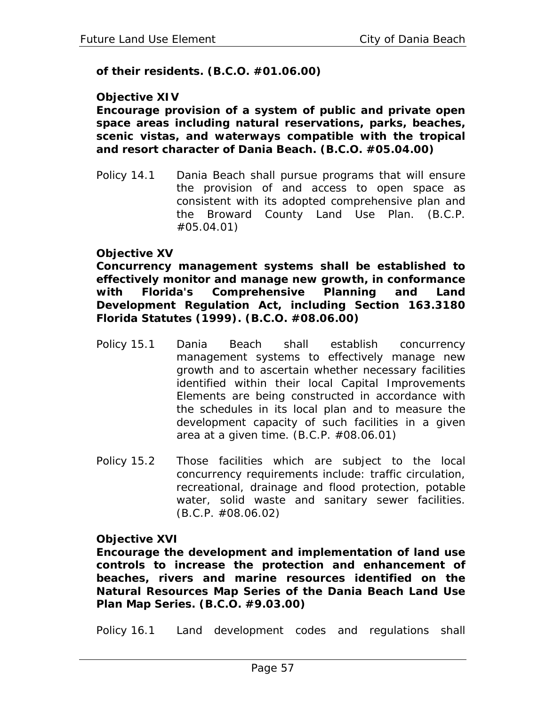**of their residents. (B.C.O. #01.06.00)** 

## **Objective XIV**

**Encourage provision of a system of public and private open space areas including natural reservations, parks, beaches, scenic vistas, and waterways compatible with the tropical and resort character of Dania Beach. (B.C.O. #05.04.00)** 

Policy 14.1 Dania Beach shall pursue programs that will ensure the provision of and access to open space as consistent with its adopted comprehensive plan and the Broward County Land Use Plan. (B.C.P. #05.04.01)

## **Objective XV**

**Concurrency management systems shall be established to effectively monitor and manage new growth, in conformance with Florida's Comprehensive Planning and Land Development Regulation Act, including Section 163.3180 Florida Statutes (1999). (B.C.O. #08.06.00)** 

- Policy 15.1 Dania Beach shall establish concurrency management systems to effectively manage new growth and to ascertain whether necessary facilities identified within their local Capital Improvements Elements are being constructed in accordance with the schedules in its local plan and to measure the development capacity of such facilities in a given area at a given time. (B.C.P. #08.06.01)
- Policy 15.2 Those facilities which are subject to the local concurrency requirements include: traffic circulation, recreational, drainage and flood protection, potable water, solid waste and sanitary sewer facilities. (B.C.P. #08.06.02)

### **Objective XVI**

**Encourage the development and implementation of land use controls to increase the protection and enhancement of beaches, rivers and marine resources identified on the Natural Resources Map Series of the Dania Beach Land Use Plan Map Series. (B.C.O. #9.03.00)** 

Policy 16.1 Land development codes and regulations shall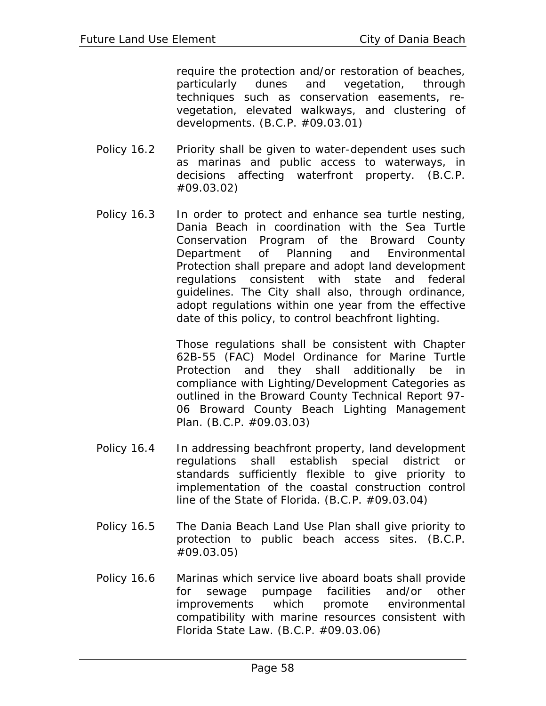require the protection and/or restoration of beaches, particularly dunes and vegetation, through techniques such as conservation easements, revegetation, elevated walkways, and clustering of developments. (B.C.P. #09.03.01)

- Policy 16.2 Priority shall be given to water-dependent uses such as marinas and public access to waterways, in decisions affecting waterfront property. (B.C.P. #09.03.02)
- Policy 16.3 In order to protect and enhance sea turtle nesting, Dania Beach in coordination with the Sea Turtle Conservation Program of the Broward County Department of Planning and Environmental Protection shall prepare and adopt land development regulations consistent with state and federal guidelines. The City shall also, through ordinance, adopt regulations within one year from the effective date of this policy, to control beachfront lighting.

Those regulations shall be consistent with Chapter 62B-55 (FAC) Model Ordinance for Marine Turtle Protection and they shall additionally be in compliance with Lighting/Development Categories as outlined in the Broward County Technical Report 97- 06 Broward County Beach Lighting Management Plan. (B.C.P. #09.03.03)

- Policy 16.4 In addressing beachfront property, land development regulations shall establish special district or standards sufficiently flexible to give priority to implementation of the coastal construction control line of the State of Florida. (B.C.P. #09.03.04)
- Policy 16.5 The Dania Beach Land Use Plan shall give priority to protection to public beach access sites. (B.C.P. #09.03.05)
- Policy 16.6 Marinas which service live aboard boats shall provide for sewage pumpage facilities and/or other improvements which promote environmental compatibility with marine resources consistent with Florida State Law. (B.C.P. #09.03.06)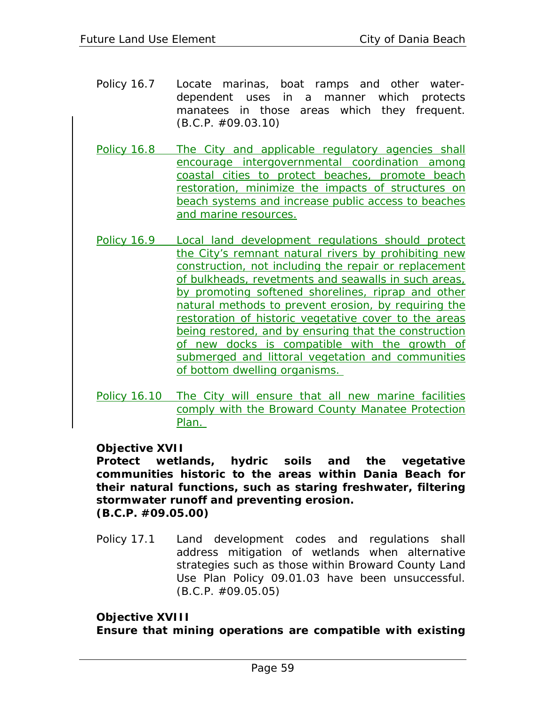- Policy 16.7 Locate marinas, boat ramps and other waterdependent uses in a manner which protects manatees in those areas which they frequent. (B.C.P. #09.03.10)
- Policy 16.8 The City and applicable regulatory agencies shall encourage intergovernmental coordination among coastal cities to protect beaches, promote beach restoration, minimize the impacts of structures on beach systems and increase public access to beaches and marine resources.
- Policy 16.9 Local land development regulations should protect the City's remnant natural rivers by prohibiting new construction, not including the repair or replacement of bulkheads, revetments and seawalls in such areas, by promoting softened shorelines, riprap and other natural methods to prevent erosion, by requiring the restoration of historic vegetative cover to the areas being restored, and by ensuring that the construction of new docks is compatible with the growth of submerged and littoral vegetation and communities of bottom dwelling organisms.
- Policy 16.10 The City will ensure that all new marine facilities comply with the Broward County Manatee Protection Plan.

### **Objective XVII**

**Protect wetlands, hydric soils and the vegetative communities historic to the areas within Dania Beach for their natural functions, such as staring freshwater, filtering stormwater runoff and preventing erosion. (B.C.P. #09.05.00)** 

Policy 17.1 Land development codes and regulations shall address mitigation of wetlands when alternative strategies such as those within Broward County Land Use Plan Policy 09.01.03 have been unsuccessful. (B.C.P. #09.05.05)

### **Objective XVIII**

**Ensure that mining operations are compatible with existing**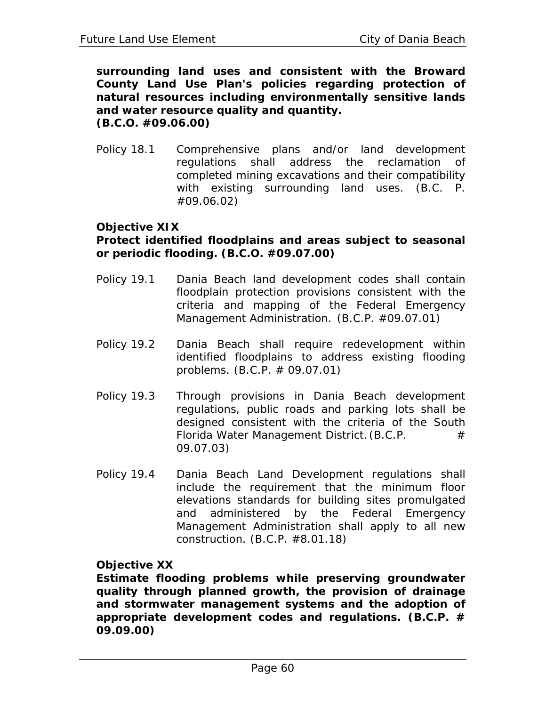**surrounding land uses and consistent with the Broward County Land Use Plan's policies regarding protection of natural resources including environmentally sensitive lands and water resource quality and quantity. (B.C.O. #09.06.00)** 

Policy 18.1 Comprehensive plans and/or land development regulations shall address the reclamation of completed mining excavations and their compatibility with existing surrounding land uses. (B.C. P. #09.06.02)

# **Objective XIX**

#### **Protect identified floodplains and areas subject to seasonal or periodic flooding. (B.C.O. #09.07.00)**

- Policy 19.1 Dania Beach land development codes shall contain floodplain protection provisions consistent with the criteria and mapping of the Federal Emergency Management Administration. (B.C.P. #09.07.01)
- Policy 19.2 Dania Beach shall require redevelopment within identified floodplains to address existing flooding problems. (B.C.P. # 09.07.01)
- Policy 19.3 Through provisions in Dania Beach development regulations, public roads and parking lots shall be designed consistent with the criteria of the South Florida Water Management District. (B.C.P.  $\#$ 09.07.03)
- Policy 19.4 Dania Beach Land Development regulations shall include the requirement that the minimum floor elevations standards for building sites promulgated and administered by the Federal Emergency Management Administration shall apply to all new construction. (B.C.P. #8.01.18)

### **Objective XX**

**Estimate flooding problems while preserving groundwater quality through planned growth, the provision of drainage and stormwater management systems and the adoption of appropriate development codes and regulations. (B.C.P. # 09.09.00)**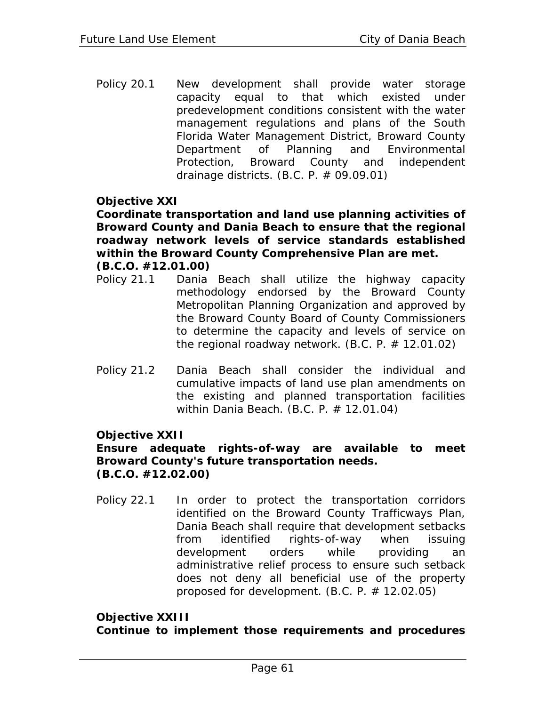Policy 20.1 New development shall provide water storage capacity equal to that which existed under predevelopment conditions consistent with the water management regulations and plans of the South Florida Water Management District, Broward County Department of Planning and Environmental Protection, Broward County and independent drainage districts.  $(B.C. P. # 09.09.01)$ 

## **Objective XXI**

**Coordinate transportation and land use planning activities of Broward County and Dania Beach to ensure that the regional roadway network levels of service standards established within the Broward County Comprehensive Plan are met. (B.C.O. #12.01.00)** 

- Policy 21.1 Dania Beach shall utilize the highway capacity methodology endorsed by the Broward County Metropolitan Planning Organization and approved by the Broward County Board of County Commissioners to determine the capacity and levels of service on the regional roadway network. (B.C. P.  $\#$  12.01.02)
- Policy 21.2 Dania Beach shall consider the individual and cumulative impacts of land use plan amendments on the existing and planned transportation facilities within Dania Beach. (B.C. P. # 12.01.04)

### **Objective XXII**

#### **Ensure adequate rights-of-way are available to meet Broward County's future transportation needs. (B.C.O. #12.02.00)**

Policy 22.1 In order to protect the transportation corridors identified on the Broward County Trafficways Plan, Dania Beach shall require that development setbacks from identified rights-of-way when issuing development orders while providing an administrative relief process to ensure such setback does not deny all beneficial use of the property proposed for development. (B.C. P. # 12.02.05)

#### **Objective XXIII**

**Continue to implement those requirements and procedures**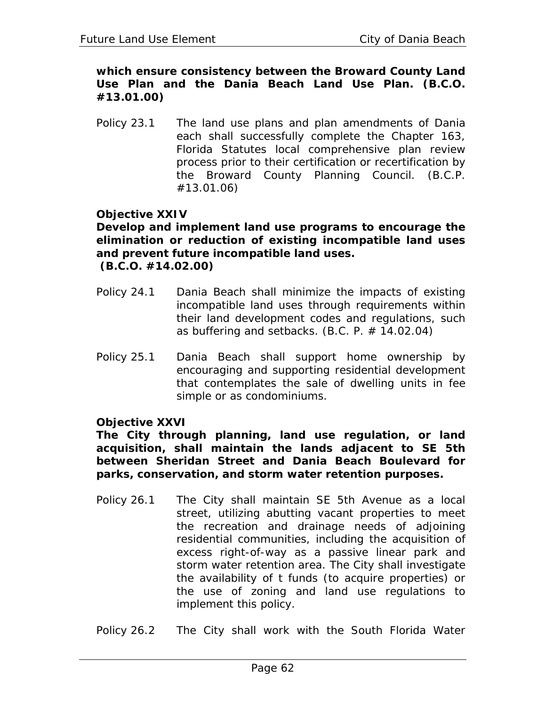**which ensure consistency between the Broward County Land Use Plan and the Dania Beach Land Use Plan. (B.C.O. #13.01.00)** 

Policy 23.1 The land use plans and plan amendments of Dania each shall successfully complete the Chapter 163, Florida Statutes local comprehensive plan review process prior to their certification or recertification by the Broward County Planning Council. (B.C.P. #13.01.06)

## **Objective XXIV**

## **Develop and implement land use programs to encourage the elimination or reduction of existing incompatible land uses and prevent future incompatible land uses. (B.C.O. #14.02.00)**

- Policy 24.1 Dania Beach shall minimize the impacts of existing incompatible land uses through requirements within their land development codes and regulations, such as buffering and setbacks.  $(B.C. P. # 14.02.04)$
- Policy 25.1 Dania Beach shall support home ownership by encouraging and supporting residential development that contemplates the sale of dwelling units in fee simple or as condominiums.

### **Objective XXVI**

**The City through planning, land use regulation, or land acquisition, shall maintain the lands adjacent to SE 5th between Sheridan Street and Dania Beach Boulevard for parks, conservation, and storm water retention purposes.** 

- Policy 26.1 The City shall maintain SE 5th Avenue as a local street, utilizing abutting vacant properties to meet the recreation and drainage needs of adjoining residential communities, including the acquisition of excess right-of-way as a passive linear park and storm water retention area. The City shall investigate the availability of t funds (to acquire properties) or the use of zoning and land use regulations to implement this policy.
- Policy 26.2 The City shall work with the South Florida Water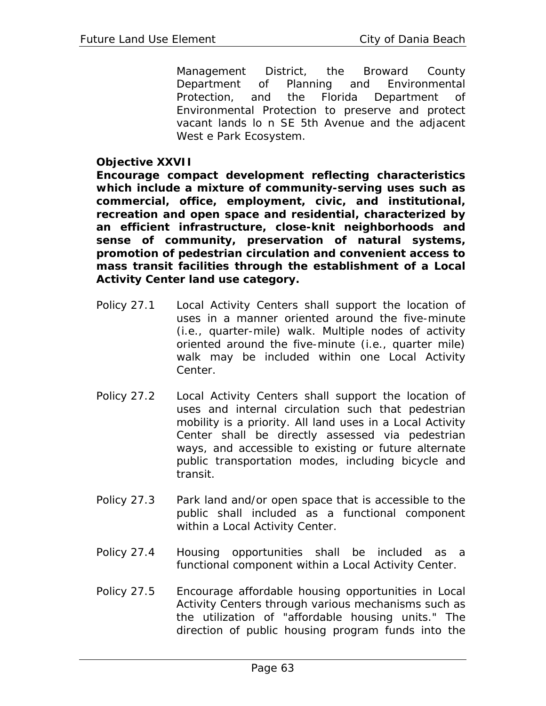Management District, the Broward County Department of Planning and Environmental Protection, and the Florida Department of Environmental Protection to preserve and protect vacant lands lo n SE 5th Avenue and the adjacent West e Park Ecosystem.

#### **Objective XXVII**

**Encourage compact development reflecting characteristics which include a mixture of community-serving uses such as commercial, office, employment, civic, and institutional, recreation and open space and residential, characterized by an efficient infrastructure, close-knit neighborhoods and sense of community, preservation of natural systems, promotion of pedestrian circulation and convenient access to mass transit facilities through the establishment of a Local Activity Center land use category.** 

- Policy 27.1 Local Activity Centers shall support the location of uses in a manner oriented around the five-minute (i.e., quarter-mile) walk. Multiple nodes of activity oriented around the five-minute (i.e., quarter mile) walk may be included within one Local Activity Center.
- Policy 27.2 Local Activity Centers shall support the location of uses and internal circulation such that pedestrian mobility is a priority. All land uses in a Local Activity Center shall be directly assessed via pedestrian ways, and accessible to existing or future alternate public transportation modes, including bicycle and transit.
- Policy 27.3 Park land and/or open space that is accessible to the public shall included as a functional component within a Local Activity Center.
- Policy 27.4 Housing opportunities shall be included as a functional component within a Local Activity Center.
- Policy 27.5 Encourage affordable housing opportunities in Local Activity Centers through various mechanisms such as the utilization of "affordable housing units." The direction of public housing program funds into the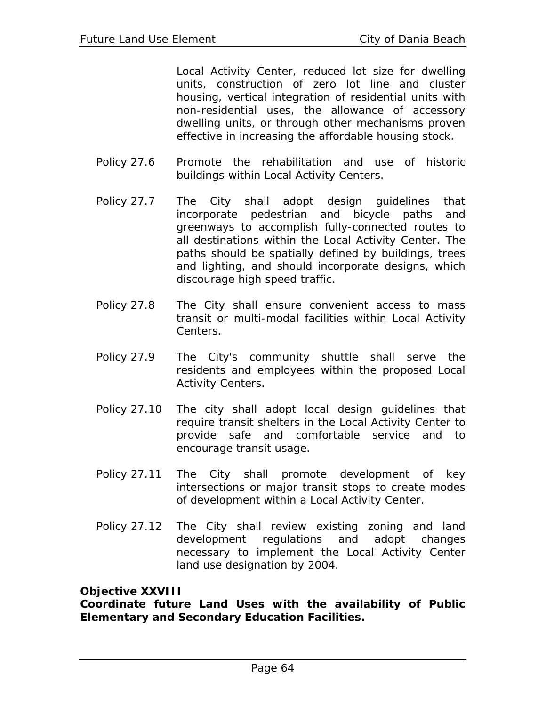Local Activity Center, reduced lot size for dwelling units, construction of zero lot line and cluster housing, vertical integration of residential units with non-residential uses, the allowance of accessory dwelling units, or through other mechanisms proven effective in increasing the affordable housing stock.

- Policy 27.6 Promote the rehabilitation and use of historic buildings within Local Activity Centers.
- Policy 27.7 The City shall adopt design guidelines that incorporate pedestrian and bicycle paths and greenways to accomplish fully-connected routes to all destinations within the Local Activity Center. The paths should be spatially defined by buildings, trees and lighting, and should incorporate designs, which discourage high speed traffic.
- Policy 27.8 The City shall ensure convenient access to mass transit or multi-modal facilities within Local Activity Centers.
- Policy 27.9 The City's community shuttle shall serve the residents and employees within the proposed Local Activity Centers.
- Policy 27.10 The city shall adopt local design guidelines that require transit shelters in the Local Activity Center to provide safe and comfortable service and to encourage transit usage.
- Policy 27.11 The City shall promote development of key intersections or major transit stops to create modes of development within a Local Activity Center.
- Policy 27.12 The City shall review existing zoning and land development regulations and adopt changes necessary to implement the Local Activity Center land use designation by 2004.

#### **Objective XXVIII**

**Coordinate future Land Uses with the availability of Public Elementary and Secondary Education Facilities.**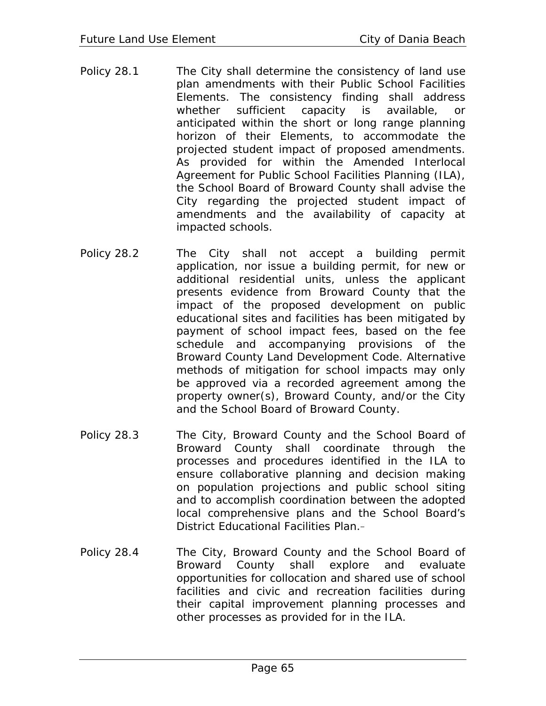- Policy 28.1 The City shall determine the consistency of land use plan amendments with their Public School Facilities Elements. The consistency finding shall address whether sufficient capacity is available, or anticipated within the short or long range planning horizon of their Elements, to accommodate the projected student impact of proposed amendments. As provided for within the Amended Interlocal Agreement for Public School Facilities Planning (ILA), the School Board of Broward County shall advise the City regarding the projected student impact of amendments and the availability of capacity at impacted schools.
- Policy 28.2 The City shall not accept a building permit application, nor issue a building permit, for new or additional residential units, unless the applicant presents evidence from Broward County that the impact of the proposed development on public educational sites and facilities has been mitigated by payment of school impact fees, based on the fee schedule and accompanying provisions of the Broward County Land Development Code. Alternative methods of mitigation for school impacts may only be approved via a recorded agreement among the property owner(s), Broward County, and/or the City and the School Board of Broward County.
- Policy 28.3 The City, Broward County and the School Board of Broward County shall coordinate through the processes and procedures identified in the ILA to ensure collaborative planning and decision making on population projections and public school siting and to accomplish coordination between the adopted local comprehensive plans and the School Board's District Educational Facilities Plan.
- Policy 28.4 The City, Broward County and the School Board of Broward County shall explore and evaluate opportunities for collocation and shared use of school facilities and civic and recreation facilities during their capital improvement planning processes and other processes as provided for in the ILA.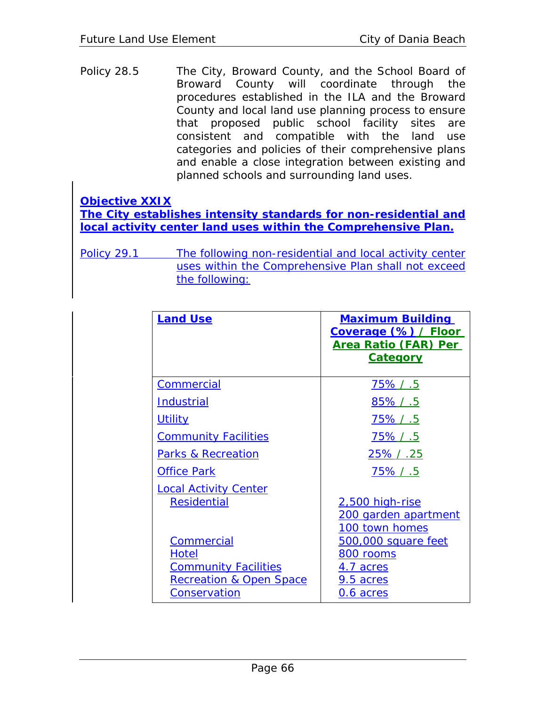Policy 28.5 The City, Broward County, and the School Board of Broward County will coordinate through the procedures established in the ILA and the Broward County and local land use planning process to ensure that proposed public school facility sites are consistent and compatible with the land use categories and policies of their comprehensive plans and enable a close integration between existing and planned schools and surrounding land uses.

# **Objective XXIX**

**The City establishes intensity standards for non-residential and local activity center land uses within the Comprehensive Plan.**

Policy 29.1 The following non-residential and local activity center uses within the Comprehensive Plan shall not exceed the following:

| <b>Land Use</b>                    | <b>Maximum Building</b><br>Coverage (%) / Floor<br>Area Ratio (FAR) Per<br><b>Category</b> |
|------------------------------------|--------------------------------------------------------------------------------------------|
| <b>Commercial</b>                  | $75\% / .5$                                                                                |
| <b>Industrial</b>                  | <u>85% / .5</u>                                                                            |
| <b>Utility</b>                     | $75\%$ / .5                                                                                |
| <b>Community Facilities</b>        | $75\%$ / .5                                                                                |
| <b>Parks &amp; Recreation</b>      | 25% / .25                                                                                  |
| <b>Office Park</b>                 | $75\%$ / .5                                                                                |
| <b>Local Activity Center</b>       |                                                                                            |
| <b>Residential</b>                 | 2,500 high-rise                                                                            |
|                                    | 200 garden apartment                                                                       |
|                                    | 100 town homes                                                                             |
| <b>Commercial</b>                  | 500,000 square feet                                                                        |
| Hotel                              | 800 rooms                                                                                  |
| <b>Community Facilities</b>        | 4.7 acres                                                                                  |
| <b>Recreation &amp; Open Space</b> | 9.5 acres                                                                                  |
| Conservation                       | 0.6 acres                                                                                  |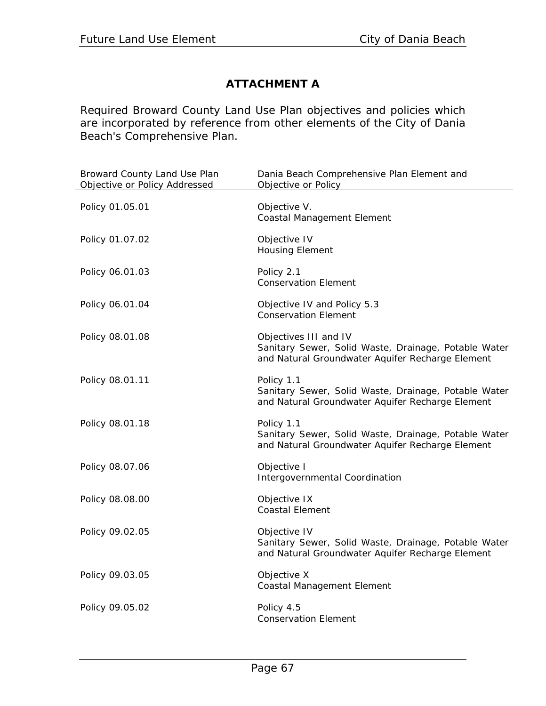# **ATTACHMENT A**

Required Broward County Land Use Plan objectives and policies which are incorporated by reference from other elements of the City of Dania Beach's Comprehensive Plan.

| Broward County Land Use Plan<br>Objective or Policy Addressed | Dania Beach Comprehensive Plan Element and<br>Objective or Policy                                                                 |
|---------------------------------------------------------------|-----------------------------------------------------------------------------------------------------------------------------------|
| Policy 01.05.01                                               | Objective V.<br>Coastal Management Element                                                                                        |
| Policy 01.07.02                                               | Objective IV<br><b>Housing Element</b>                                                                                            |
| Policy 06.01.03                                               | Policy 2.1<br><b>Conservation Element</b>                                                                                         |
| Policy 06.01.04                                               | Objective IV and Policy 5.3<br><b>Conservation Element</b>                                                                        |
| Policy 08.01.08                                               | Objectives III and IV<br>Sanitary Sewer, Solid Waste, Drainage, Potable Water<br>and Natural Groundwater Aquifer Recharge Element |
| Policy 08.01.11                                               | Policy 1.1<br>Sanitary Sewer, Solid Waste, Drainage, Potable Water<br>and Natural Groundwater Aquifer Recharge Element            |
| Policy 08.01.18                                               | Policy 1.1<br>Sanitary Sewer, Solid Waste, Drainage, Potable Water<br>and Natural Groundwater Aquifer Recharge Element            |
| Policy 08.07.06                                               | Objective I<br>Intergovernmental Coordination                                                                                     |
| Policy 08.08.00                                               | Objective IX<br><b>Coastal Element</b>                                                                                            |
| Policy 09.02.05                                               | Objective IV<br>Sanitary Sewer, Solid Waste, Drainage, Potable Water<br>and Natural Groundwater Aquifer Recharge Element          |
| Policy 09.03.05                                               | Objective X<br>Coastal Management Element                                                                                         |
| Policy 09.05.02                                               | Policy 4.5<br><b>Conservation Element</b>                                                                                         |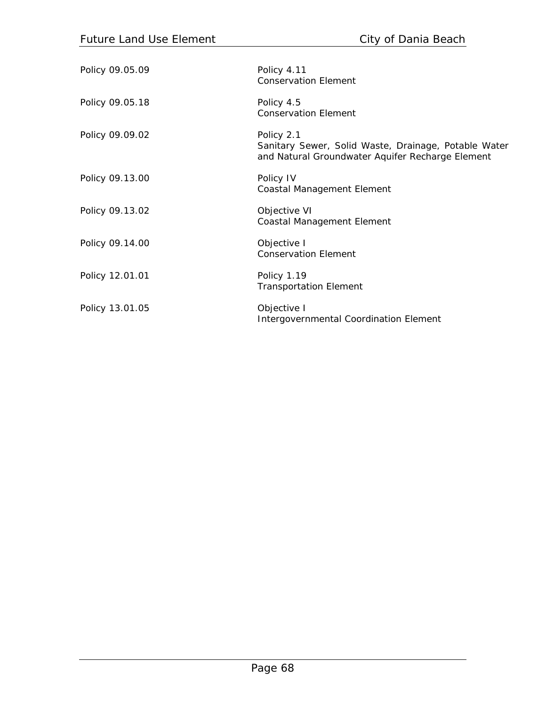| Policy 09.05.09 | Policy 4.11<br><b>Conservation Element</b>                                                                             |
|-----------------|------------------------------------------------------------------------------------------------------------------------|
| Policy 09.05.18 | Policy 4.5<br><b>Conservation Element</b>                                                                              |
| Policy 09.09.02 | Policy 2.1<br>Sanitary Sewer, Solid Waste, Drainage, Potable Water<br>and Natural Groundwater Aquifer Recharge Element |
| Policy 09.13.00 | Policy IV<br>Coastal Management Element                                                                                |
| Policy 09.13.02 | Objective VI<br>Coastal Management Element                                                                             |
| Policy 09.14.00 | Objective I<br><b>Conservation Element</b>                                                                             |
| Policy 12.01.01 | Policy 1.19<br><b>Transportation Element</b>                                                                           |
| Policy 13.01.05 | Objective I<br><b>Intergovernmental Coordination Element</b>                                                           |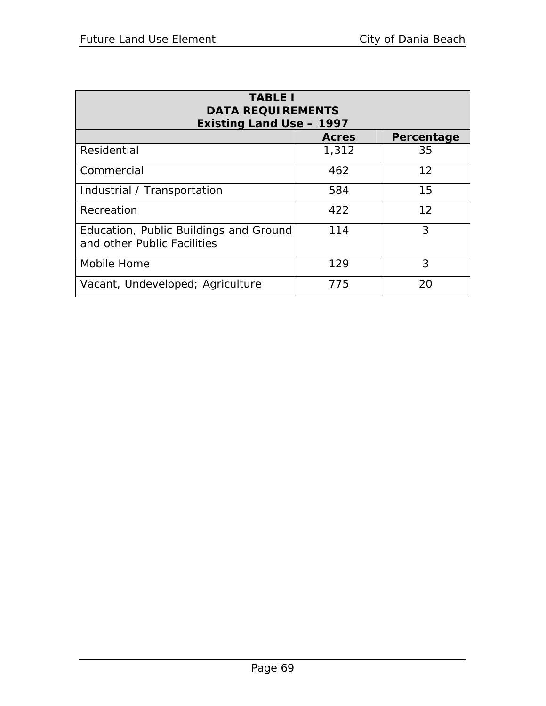| <b>TABLE I</b><br><b>DATA REQUIREMENTS</b><br><b>Existing Land Use - 1997</b> |       |    |  |  |  |  |  |  |  |
|-------------------------------------------------------------------------------|-------|----|--|--|--|--|--|--|--|
| <b>Acres</b><br>Percentage                                                    |       |    |  |  |  |  |  |  |  |
| Residential                                                                   | 1,312 | 35 |  |  |  |  |  |  |  |
| Commercial                                                                    | 462   | 12 |  |  |  |  |  |  |  |
| Industrial / Transportation                                                   | 584   | 15 |  |  |  |  |  |  |  |
| Recreation                                                                    | 422   | 12 |  |  |  |  |  |  |  |
| Education, Public Buildings and Ground<br>and other Public Facilities         | 114   | 3  |  |  |  |  |  |  |  |
| Mobile Home                                                                   | 129   | 3  |  |  |  |  |  |  |  |
| Vacant, Undeveloped; Agriculture                                              | 775   | 20 |  |  |  |  |  |  |  |